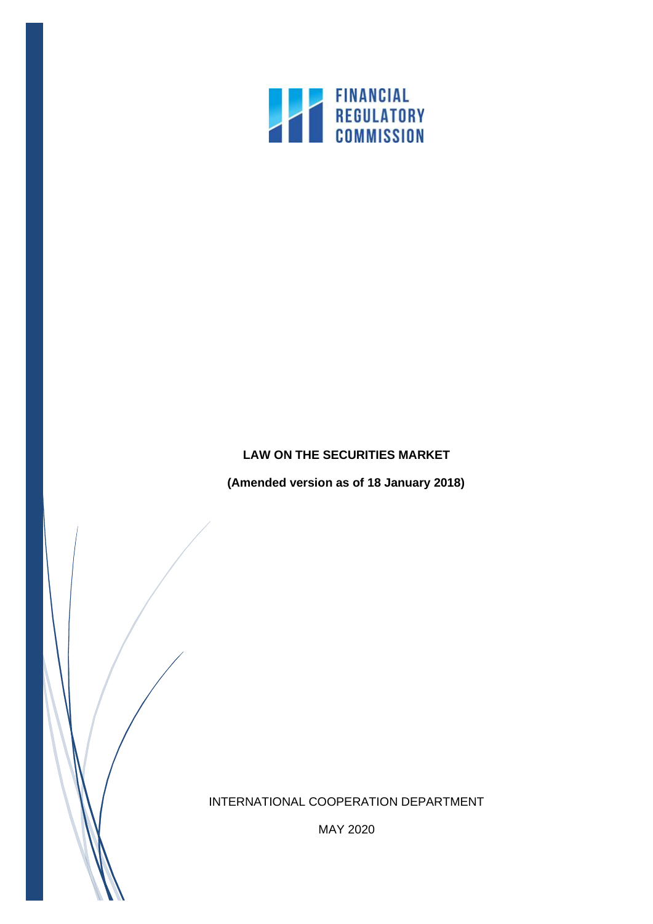

# **LAW ON THE SECURITIES MARKET**

**(Amended version as of 18 January 2018)**

INTERNATIONAL COOPERATION DEPARTMENT

MAY 2020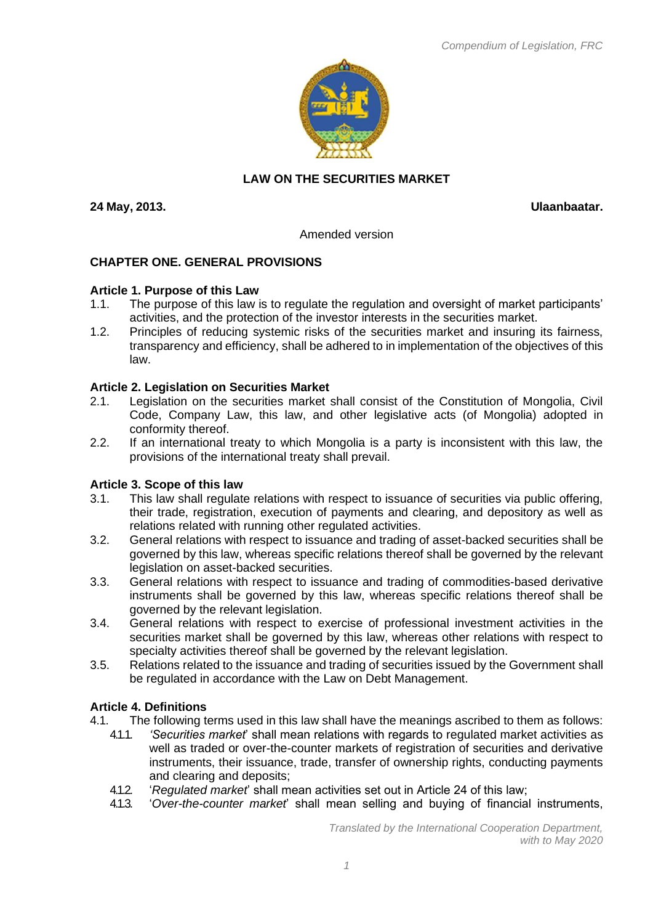

# **LAW ON THE SECURITIES MARKET**

**24 May, 2013. Ulaanbaatar.**

Amended version

### **CHAPTER ONE. GENERAL PROVISIONS**

#### **Article 1. Purpose of this Law**

- 1.1. The purpose of this law is to regulate the regulation and oversight of market participants' activities, and the protection of the investor interests in the securities market.
- 1.2. Principles of reducing systemic risks of the securities market and insuring its fairness, transparency and efficiency, shall be adhered to in implementation of the objectives of this law.

### **Article 2. Legislation on Securities Market**

- 2.1. Legislation on the securities market shall consist of the Constitution of Mongolia, Civil Code, Company Law, this law, and other legislative acts (of Mongolia) adopted in conformity thereof.
- 2.2. If an international treaty to which Mongolia is a party is inconsistent with this law, the provisions of the international treaty shall prevail.

#### **Article 3. Scope of this law**

- 3.1. This law shall regulate relations with respect to issuance of securities via public offering, their trade, registration, execution of payments and clearing, and depository as well as relations related with running other regulated activities.
- 3.2. General relations with respect to issuance and trading of asset-backed securities shall be governed by this law, whereas specific relations thereof shall be governed by the relevant legislation on asset-backed securities.
- 3.3. General relations with respect to issuance and trading of commodities-based derivative instruments shall be governed by this law, whereas specific relations thereof shall be governed by the relevant legislation.
- 3.4. General relations with respect to exercise of professional investment activities in the securities market shall be governed by this law, whereas other relations with respect to specialty activities thereof shall be governed by the relevant legislation.
- 3.5. Relations related to the issuance and trading of securities issued by the Government shall be regulated in accordance with the Law on Debt Management.

### **Article 4. Definitions**

- 4.1. The following terms used in this law shall have the meanings ascribed to them as follows:
	- 4.1.1. *'Securities market*' shall mean relations with regards to regulated market activities as well as traded or over-the-counter markets of registration of securities and derivative instruments, their issuance, trade, transfer of ownership rights, conducting payments and clearing and deposits;
	- 4.1.2. '*Regulated market*' shall mean activities set out in Article 24 of this law;
	- 4.1.3. '*Over-the-counter market*' shall mean selling and buying of financial instruments,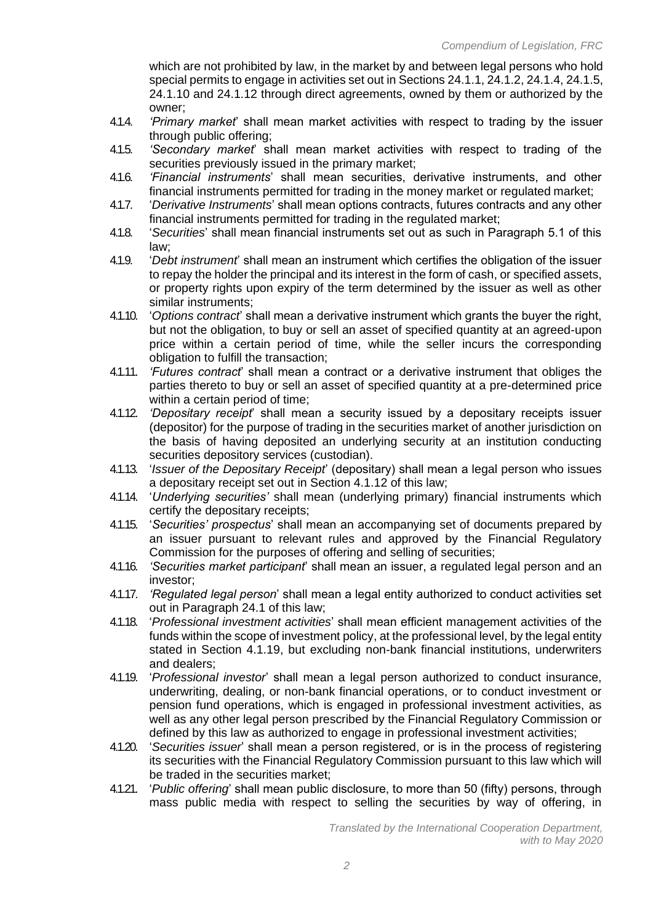which are not prohibited by law, in the market by and between legal persons who hold special permits to engage in activities set out in Sections 24.1.1, 24.1.2, 24.1.4, 24.1.5, 24.1.10 and 24.1.12 through direct agreements, owned by them or authorized by the owner;

- 4.1.4. *'Primary market*' shall mean market activities with respect to trading by the issuer through public offering;
- 4.1.5. *'Secondary market*' shall mean market activities with respect to trading of the securities previously issued in the primary market;
- 4.1.6. *'Financial instruments*' shall mean securities, derivative instruments, and other financial instruments permitted for trading in the money market or regulated market;
- 4.1.7. '*Derivative Instruments*' shall mean options contracts, futures contracts and any other financial instruments permitted for trading in the regulated market;
- 4.1.8. '*Securities*' shall mean financial instruments set out as such in Paragraph 5.1 of this law;
- 4.1.9. '*Debt instrument*' shall mean an instrument which certifies the obligation of the issuer to repay the holder the principal and its interest in the form of cash, or specified assets, or property rights upon expiry of the term determined by the issuer as well as other similar instruments;
- 4.1.10. '*Options contract*' shall mean a derivative instrument which grants the buyer the right, but not the obligation, to buy or sell an asset of specified quantity at an agreed-upon price within a certain period of time, while the seller incurs the corresponding obligation to fulfill the transaction;
- 4.1.11. *'Futures contract*' shall mean a contract or a derivative instrument that obliges the parties thereto to buy or sell an asset of specified quantity at a pre-determined price within a certain period of time;
- 4.1.12. *'Depositary receipt*' shall mean a security issued by a depositary receipts issuer (depositor) for the purpose of trading in the securities market of another jurisdiction on the basis of having deposited an underlying security at an institution conducting securities depository services (custodian).
- 4.1.13. '*Issuer of the Depositary Receipt*' (depositary) shall mean a legal person who issues a depositary receipt set out in Section 4.1.12 of this law;
- 4.1.14. '*Underlying securities'* shall mean (underlying primary) financial instruments which certify the depositary receipts;
- 4.1.15. '*Securities' prospectus*' shall mean an accompanying set of documents prepared by an issuer pursuant to relevant rules and approved by the Financial Regulatory Commission for the purposes of offering and selling of securities;
- 4.1.16. *'Securities market participant*' shall mean an issuer, a regulated legal person and an investor;
- 4.1.17. *'Regulated legal person*' shall mean a legal entity authorized to conduct activities set out in Paragraph 24.1 of this law;
- 4.1.18. '*Professional investment activities*' shall mean efficient management activities of the funds within the scope of investment policy, at the professional level, by the legal entity stated in Section 4.1.19, but excluding non-bank financial institutions, underwriters and dealers;
- 4.1.19. '*Professional investor*' shall mean a legal person authorized to conduct insurance, underwriting, dealing, or non-bank financial operations, or to conduct investment or pension fund operations, which is engaged in professional investment activities, as well as any other legal person prescribed by the Financial Regulatory Commission or defined by this law as authorized to engage in professional investment activities;
- 4.1.20. '*Securities issuer*' shall mean a person registered, or is in the process of registering its securities with the Financial Regulatory Commission pursuant to this law which will be traded in the securities market;
- 4.1.21. '*Public offering*' shall mean public disclosure, to more than 50 (fifty) persons, through mass public media with respect to selling the securities by way of offering, in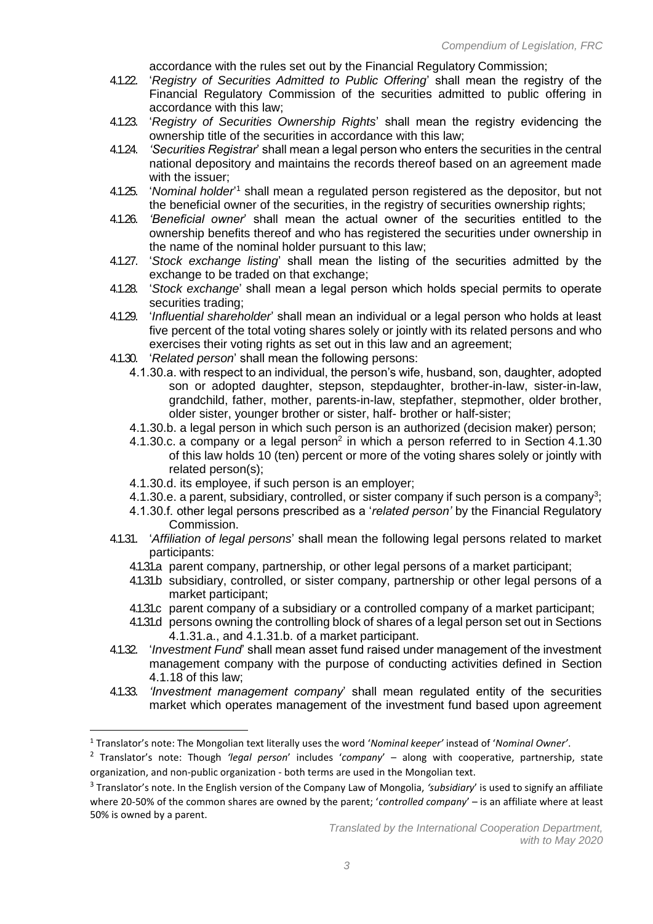accordance with the rules set out by the Financial Regulatory Commission;

- 4.1.22. '*Registry of Securities Admitted to Public Offering*' shall mean the registry of the Financial Regulatory Commission of the securities admitted to public offering in accordance with this law;
- 4.1.23. '*Registry of Securities Ownership Rights*' shall mean the registry evidencing the ownership title of the securities in accordance with this law;
- 4.1.24. *'Securities Registrar*' shall mean a legal person who enters the securities in the central national depository and maintains the records thereof based on an agreement made with the issuer;
- 4.1.25. 'Nominal holder<sup>1</sup> shall mean a regulated person registered as the depositor, but not the beneficial owner of the securities, in the registry of securities ownership rights;
- 4.1.26. *'Beneficial owner*' shall mean the actual owner of the securities entitled to the ownership benefits thereof and who has registered the securities under ownership in the name of the nominal holder pursuant to this law;
- 4.1.27. '*Stock exchange listing*' shall mean the listing of the securities admitted by the exchange to be traded on that exchange;
- 4.1.28. '*Stock exchange*' shall mean a legal person which holds special permits to operate securities trading;
- 4.1.29. '*Influential shareholder*' shall mean an individual or a legal person who holds at least five percent of the total voting shares solely or jointly with its related persons and who exercises their voting rights as set out in this law and an agreement:
- 4.1.30. '*Related person*' shall mean the following persons:
	- 4.1.30.a. with respect to an individual, the person's wife, husband, son, daughter, adopted son or adopted daughter, stepson, stepdaughter, brother-in-law, sister-in-law, grandchild, father, mother, parents-in-law, stepfather, stepmother, older brother, older sister, younger brother or sister, half- brother or half-sister;
	- 4.1.30.b. a legal person in which such person is an authorized (decision maker) person;
	- 4.1.30.c. a company or a legal person<sup>[2](#page-4-0)</sup> in which a person referred to in Section 4.1.30 of this law holds 10 (ten) percent or more of the voting shares solely or jointly with related person(s);
	- 4.1.30.d. its employee, if such person is an employer;
	- 4.1.30.e. a parent, subsidiary, controlled, or sister company if such person is a company<sup>3</sup>;
	- 4.1.30.f. other legal persons prescribed as a '*related person'* by the Financial Regulatory Commission.
- 4.1.31. '*Affiliation of legal persons*' shall mean the following legal persons related to market participants:
	- 4.1.31.a parent company, partnership, or other legal persons of a market participant;
	- 4.1.31.b subsidiary, controlled, or sister company, partnership or other legal persons of a market participant;
	- 4.1.31.c parent company of a subsidiary or a controlled company of a market participant;
	- 4.1.31.d persons owning the controlling block of shares of a legal person set out in Sections 4.1.31.a., and 4.1.31.b. of a market participant.
- 4.1.32. '*Investment Fund*' shall mean asset fund raised under management of the investment management company with the purpose of conducting activities defined in Section 4.1.18 of this law;
- 4.1.33. *'Investment management company*' shall mean regulated entity of the securities market which operates management of the investment fund based upon agreement

<sup>1</sup> Translator's note: The Mongolian text literally uses the word '*Nominal keeper'* instead of '*Nominal Owner'*.

<sup>2</sup> Translator's note: Though *'legal person*' includes '*company*' – along with cooperative, partnership, state organization, and non-public organization - both terms are used in the Mongolian text.

<sup>3</sup> Translator's note. In the English version of the Company Law of Mongolia, *'subsidiary*' is used to signify an affiliate where 20-50% of the common shares are owned by the parent; '*controlled company*' – is an affiliate where at least 50% is owned by a parent.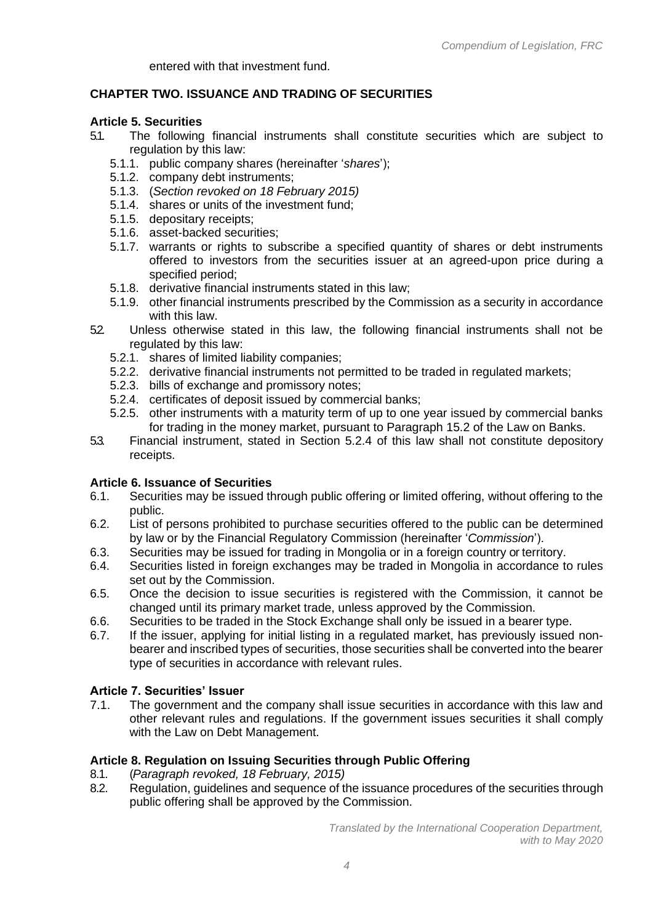entered with that investment fund.

# **CHAPTER TWO. ISSUANCE AND TRADING OF SECURITIES**

### <span id="page-4-0"></span>**Article 5. Securities**

- 5.1. The following financial instruments shall constitute securities which are subject to regulation by this law:
	- 5.1.1. public company shares (hereinafter '*shares*');
	- 5.1.2. company debt instruments;
	- 5.1.3. (*Section revoked on 18 February 2015)*
	- 5.1.4. shares or units of the investment fund;
	- 5.1.5. depositary receipts;
	- 5.1.6. asset-backed securities;
	- 5.1.7. warrants or rights to subscribe a specified quantity of shares or debt instruments offered to investors from the securities issuer at an agreed-upon price during a specified period;
	- 5.1.8. derivative financial instruments stated in this law;
	- 5.1.9. other financial instruments prescribed by the Commission as a security in accordance with this law.
- 52. Unless otherwise stated in this law, the following financial instruments shall not be regulated by this law:
	- 5.2.1. shares of limited liability companies;
	- 5.2.2. derivative financial instruments not permitted to be traded in regulated markets;
	- 5.2.3. bills of exchange and promissory notes;
	- 5.2.4. certificates of deposit issued by commercial banks;
	- 5.2.5. other instruments with a maturity term of up to one year issued by commercial banks for trading in the money market, pursuant to Paragraph 15.2 of the Law on Banks.
- 5.3. Financial instrument, stated in Section 5.2.4 of this law shall not constitute depository receipts.

### **Article 6. Issuance of Securities**

- 6.1. Securities may be issued through public offering or limited offering, without offering to the public.
- 6.2. List of persons prohibited to purchase securities offered to the public can be determined by law or by the Financial Regulatory Commission (hereinafter '*Commission*').
- 6.3. Securities may be issued for trading in Mongolia or in a foreign country or territory.
- 6.4. Securities listed in foreign exchanges may be traded in Mongolia in accordance to rules set out by the Commission.
- 6.5. Once the decision to issue securities is registered with the Commission, it cannot be changed until its primary market trade, unless approved by the Commission.
- 6.6. Securities to be traded in the Stock Exchange shall only be issued in a bearer type.
- 6.7. If the issuer, applying for initial listing in a regulated market, has previously issued nonbearer and inscribed types of securities, those securities shall be converted into the bearer type of securities in accordance with relevant rules.

# **Article 7. Securities' Issuer**

7.1. The government and the company shall issue securities in accordance with this law and other relevant rules and regulations. If the government issues securities it shall comply with the Law on Debt Management.

# **Article 8. Regulation on Issuing Securities through Public Offering**

- 8.1. (*Paragraph revoked, 18 February, 2015)*
- 8.2. Regulation, guidelines and sequence of the issuance procedures of the securities through public offering shall be approved by the Commission.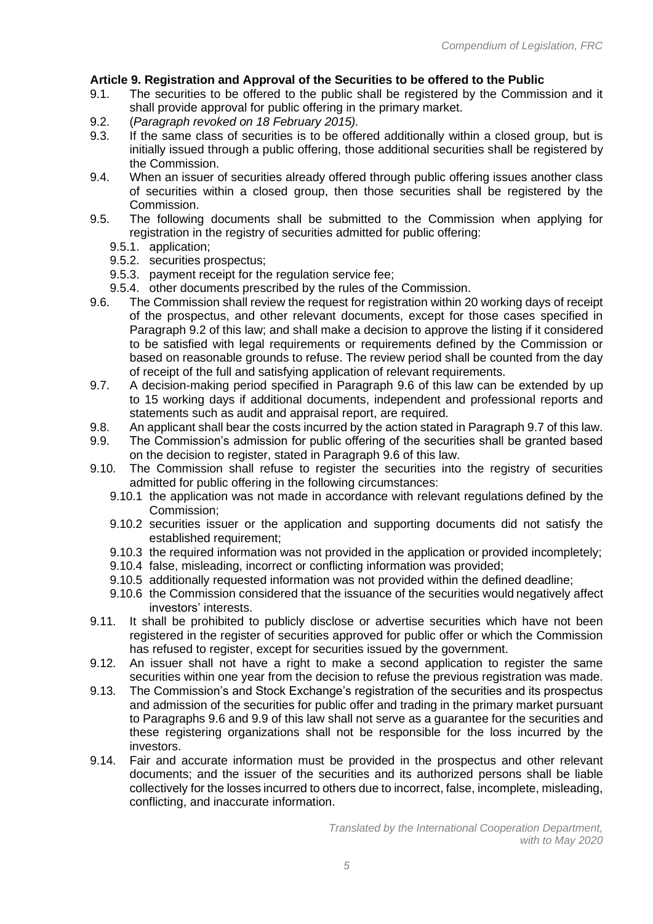# **Article 9. Registration and Approval of the Securities to be offered to the Public**

- 9.1. The securities to be offered to the public shall be registered by the Commission and it shall provide approval for public offering in the primary market.
- 9.2. (*Paragraph revoked on 18 February 2015).*
- 9.3. If the same class of securities is to be offered additionally within a closed group, but is initially issued through a public offering, those additional securities shall be registered by the Commission.
- 9.4. When an issuer of securities already offered through public offering issues another class of securities within a closed group, then those securities shall be registered by the Commission.
- 9.5. The following documents shall be submitted to the Commission when applying for registration in the registry of securities admitted for public offering:
	- 9.5.1. application;
	- 9.5.2. securities prospectus;
	- 9.5.3. payment receipt for the regulation service fee;
	- 9.5.4. other documents prescribed by the rules of the Commission.
- 9.6. The Commission shall review the request for registration within 20 working days of receipt of the prospectus, and other relevant documents, except for those cases specified in Paragraph 9.2 of this law; and shall make a decision to approve the listing if it considered to be satisfied with legal requirements or requirements defined by the Commission or based on reasonable grounds to refuse. The review period shall be counted from the day of receipt of the full and satisfying application of relevant requirements.
- 9.7. A decision-making period specified in Paragraph 9.6 of this law can be extended by up to 15 working days if additional documents, independent and professional reports and statements such as audit and appraisal report, are required.
- 9.8. An applicant shall bear the costs incurred by the action stated in Paragraph 9.7 of this law.
- 9.9. The Commission's admission for public offering of the securities shall be granted based on the decision to register, stated in Paragraph 9.6 of this law.
- 9.10. The Commission shall refuse to register the securities into the registry of securities admitted for public offering in the following circumstances:
	- 9.10.1 the application was not made in accordance with relevant regulations defined by the Commission;
	- 9.10.2 securities issuer or the application and supporting documents did not satisfy the established requirement:
	- 9.10.3 the required information was not provided in the application or provided incompletely;
	- 9.10.4 false, misleading, incorrect or conflicting information was provided;
	- 9.10.5 additionally requested information was not provided within the defined deadline;
	- 9.10.6 the Commission considered that the issuance of the securities would negatively affect investors' interests.
- 9.11. It shall be prohibited to publicly disclose or advertise securities which have not been registered in the register of securities approved for public offer or which the Commission has refused to register, except for securities issued by the government.
- 9.12. An issuer shall not have a right to make a second application to register the same securities within one year from the decision to refuse the previous registration was made.
- 9.13. The Commission's and Stock Exchange's registration of the securities and its prospectus and admission of the securities for public offer and trading in the primary market pursuant to Paragraphs 9.6 and 9.9 of this law shall not serve as a guarantee for the securities and these registering organizations shall not be responsible for the loss incurred by the investors.
- 9.14. Fair and accurate information must be provided in the prospectus and other relevant documents; and the issuer of the securities and its authorized persons shall be liable collectively for the losses incurred to others due to incorrect, false, incomplete, misleading, conflicting, and inaccurate information.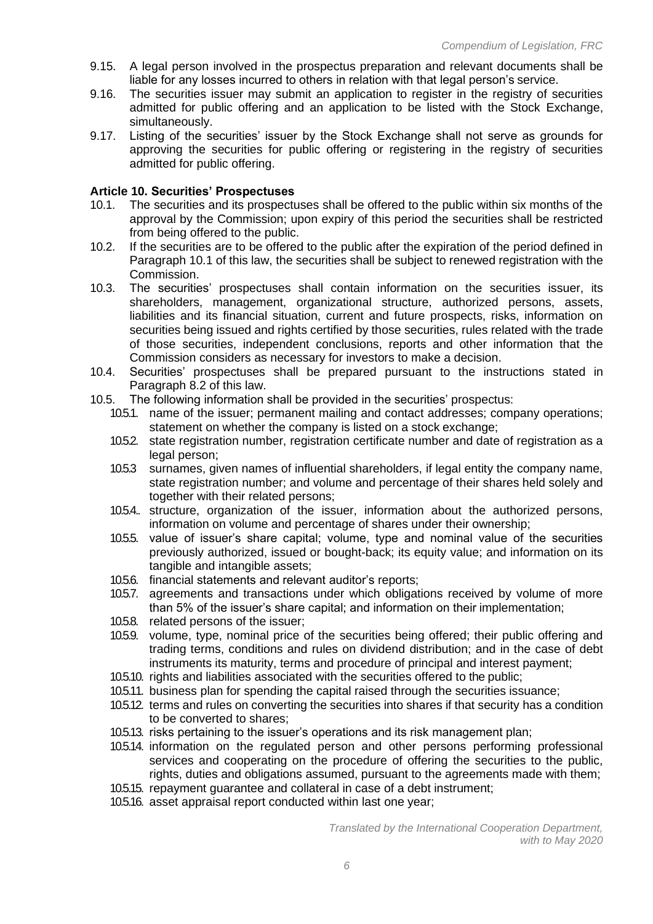- 9.15. A legal person involved in the prospectus preparation and relevant documents shall be liable for any losses incurred to others in relation with that legal person's service.
- 9.16. The securities issuer may submit an application to register in the registry of securities admitted for public offering and an application to be listed with the Stock Exchange, simultaneously.
- 9.17. Listing of the securities' issuer by the Stock Exchange shall not serve as grounds for approving the securities for public offering or registering in the registry of securities admitted for public offering.

### **Article 10. Securities' Prospectuses**

- 10.1. The securities and its prospectuses shall be offered to the public within six months of the approval by the Commission; upon expiry of this period the securities shall be restricted from being offered to the public.
- 10.2. If the securities are to be offered to the public after the expiration of the period defined in Paragraph 10.1 of this law, the securities shall be subject to renewed registration with the Commission.
- 10.3. The securities' prospectuses shall contain information on the securities issuer, its shareholders, management, organizational structure, authorized persons, assets, liabilities and its financial situation, current and future prospects, risks, information on securities being issued and rights certified by those securities, rules related with the trade of those securities, independent conclusions, reports and other information that the Commission considers as necessary for investors to make a decision.
- 10.4. Securities' prospectuses shall be prepared pursuant to the instructions stated in Paragraph 8.2 of this law.
- 10.5. The following information shall be provided in the securities' prospectus:
	- 10.5.1. name of the issuer; permanent mailing and contact addresses; company operations; statement on whether the company is listed on a stock exchange;
	- 10.5.2. state registration number, registration certificate number and date of registration as a legal person;
	- 10.5.3 surnames, given names of influential shareholders, if legal entity the company name, state registration number; and volume and percentage of their shares held solely and together with their related persons;
	- 10.5.4.. structure, organization of the issuer, information about the authorized persons, information on volume and percentage of shares under their ownership;
	- 10.5.5. value of issuer's share capital; volume, type and nominal value of the securities previously authorized, issued or bought-back; its equity value; and information on its tangible and intangible assets;
	- 10.5.6. financial statements and relevant auditor's reports;
	- 10.5.7. agreements and transactions under which obligations received by volume of more than 5% of the issuer's share capital; and information on their implementation;
	- 10.5.8. related persons of the issuer;
	- 10.5.9. volume, type, nominal price of the securities being offered; their public offering and trading terms, conditions and rules on dividend distribution; and in the case of debt instruments its maturity, terms and procedure of principal and interest payment;
	- 10.5.10. rights and liabilities associated with the securities offered to the public;
	- 10.5.11. business plan for spending the capital raised through the securities issuance;
	- 10.5.12. terms and rules on converting the securities into shares if that security has a condition to be converted to shares;
	- 10.5.13. risks pertaining to the issuer's operations and its risk management plan;
	- 10.5.14. information on the regulated person and other persons performing professional services and cooperating on the procedure of offering the securities to the public, rights, duties and obligations assumed, pursuant to the agreements made with them;
	- 10.5.15. repayment guarantee and collateral in case of a debt instrument;
	- 10.5.16. asset appraisal report conducted within last one year;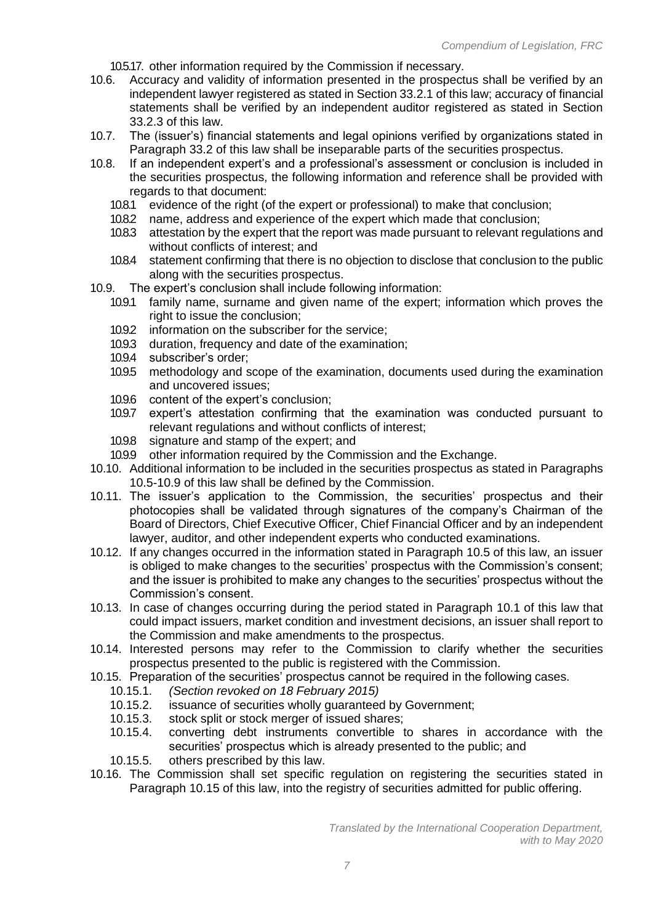10.5.17. other information required by the Commission if necessary.

- 10.6. Accuracy and validity of information presented in the prospectus shall be verified by an independent lawyer registered as stated in Section 33.2.1 of this law; accuracy of financial statements shall be verified by an independent auditor registered as stated in Section 33.2.3 of this law.
- 10.7. The (issuer's) financial statements and legal opinions verified by organizations stated in Paragraph 33.2 of this law shall be inseparable parts of the securities prospectus.
- 10.8. If an independent expert's and a professional's assessment or conclusion is included in the securities prospectus, the following information and reference shall be provided with regards to that document:
	- 10.8.1 evidence of the right (of the expert or professional) to make that conclusion;
	- 10.8.2 name, address and experience of the expert which made that conclusion;
	- 10.8.3 attestation by the expert that the report was made pursuant to relevant regulations and without conflicts of interest; and
	- 10.8.4 statement confirming that there is no objection to disclose that conclusion to the public along with the securities prospectus.
- 10.9. The expert's conclusion shall include following information:
	- 10.9.1 family name, surname and given name of the expert; information which proves the right to issue the conclusion;
	- 10.9.2 information on the subscriber for the service;
	- 10.9.3 duration, frequency and date of the examination;
	- 10.9.4 subscriber's order;
	- 10.9.5 methodology and scope of the examination, documents used during the examination and uncovered issues;
	- 10.9.6 content of the expert's conclusion;<br>10.9.7 expert's attestation confirming th
	- expert's attestation confirming that the examination was conducted pursuant to relevant regulations and without conflicts of interest;
	- 10.9.8 signature and stamp of the expert; and
	- 10.9.9 other information required by the Commission and the Exchange.
- 10.10. Additional information to be included in the securities prospectus as stated in Paragraphs 10.5-10.9 of this law shall be defined by the Commission.
- 10.11. The issuer's application to the Commission, the securities' prospectus and their photocopies shall be validated through signatures of the company's Chairman of the Board of Directors, Chief Executive Officer, Chief Financial Officer and by an independent lawyer, auditor, and other independent experts who conducted examinations.
- 10.12. If any changes occurred in the information stated in Paragraph 10.5 of this law, an issuer is obliged to make changes to the securities' prospectus with the Commission's consent; and the issuer is prohibited to make any changes to the securities' prospectus without the Commission's consent.
- 10.13. In case of changes occurring during the period stated in Paragraph 10.1 of this law that could impact issuers, market condition and investment decisions, an issuer shall report to the Commission and make amendments to the prospectus.
- 10.14. Interested persons may refer to the Commission to clarify whether the securities prospectus presented to the public is registered with the Commission.
- 10.15. Preparation of the securities' prospectus cannot be required in the following cases.
	- 10.15.1. *(Section revoked on 18 February 2015)*
	- 10.15.2. issuance of securities wholly guaranteed by Government;
	- 10.15.3. stock split or stock merger of issued shares;
	- 10.15.4. converting debt instruments convertible to shares in accordance with the securities' prospectus which is already presented to the public; and
	- 10.15.5. others prescribed by this law.
- 10.16. The Commission shall set specific regulation on registering the securities stated in Paragraph 10.15 of this law, into the registry of securities admitted for public offering.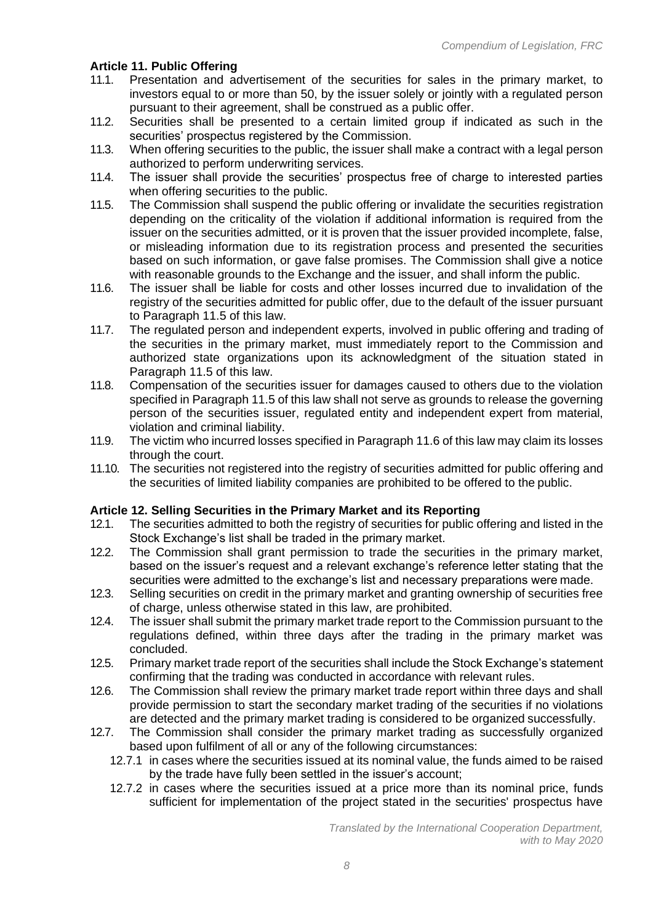# **Article 11. Public Offering**

- 11.1. Presentation and advertisement of the securities for sales in the primary market, to investors equal to or more than 50, by the issuer solely or jointly with a regulated person pursuant to their agreement, shall be construed as a public offer.
- 11.2. Securities shall be presented to a certain limited group if indicated as such in the securities' prospectus registered by the Commission.
- 11.3. When offering securities to the public, the issuer shall make a contract with a legal person authorized to perform underwriting services.
- 11.4. The issuer shall provide the securities' prospectus free of charge to interested parties when offering securities to the public.
- 11.5. The Commission shall suspend the public offering or invalidate the securities registration depending on the criticality of the violation if additional information is required from the issuer on the securities admitted, or it is proven that the issuer provided incomplete, false, or misleading information due to its registration process and presented the securities based on such information, or gave false promises. The Commission shall give a notice with reasonable grounds to the Exchange and the issuer, and shall inform the public.
- 11.6. The issuer shall be liable for costs and other losses incurred due to invalidation of the registry of the securities admitted for public offer, due to the default of the issuer pursuant to Paragraph 11.5 of this law.
- 11.7. The regulated person and independent experts, involved in public offering and trading of the securities in the primary market, must immediately report to the Commission and authorized state organizations upon its acknowledgment of the situation stated in Paragraph 11.5 of this law.
- 11.8. Compensation of the securities issuer for damages caused to others due to the violation specified in Paragraph 11.5 of this law shall not serve as grounds to release the governing person of the securities issuer, regulated entity and independent expert from material, violation and criminal liability.
- 11.9. The victim who incurred losses specified in Paragraph 11.6 of this law may claim its losses through the court.
- 11.10. The securities not registered into the registry of securities admitted for public offering and the securities of limited liability companies are prohibited to be offered to the public.

### **Article 12. Selling Securities in the Primary Market and its Reporting**

- 12.1. The securities admitted to both the registry of securities for public offering and listed in the Stock Exchange's list shall be traded in the primary market.
- 12.2. The Commission shall grant permission to trade the securities in the primary market, based on the issuer's request and a relevant exchange's reference letter stating that the securities were admitted to the exchange's list and necessary preparations were made.
- 12.3. Selling securities on credit in the primary market and granting ownership of securities free of charge, unless otherwise stated in this law, are prohibited.
- 12.4. The issuer shall submit the primary market trade report to the Commission pursuant to the regulations defined, within three days after the trading in the primary market was concluded.
- 12.5. Primary market trade report of the securities shall include the Stock Exchange's statement confirming that the trading was conducted in accordance with relevant rules.
- 12.6. The Commission shall review the primary market trade report within three days and shall provide permission to start the secondary market trading of the securities if no violations are detected and the primary market trading is considered to be organized successfully.
- 12.7. The Commission shall consider the primary market trading as successfully organized based upon fulfilment of all or any of the following circumstances:
	- 12.7.1 in cases where the securities issued at its nominal value, the funds aimed to be raised by the trade have fully been settled in the issuer's account;
	- 12.7.2 in cases where the securities issued at a price more than its nominal price, funds sufficient for implementation of the project stated in the securities' prospectus have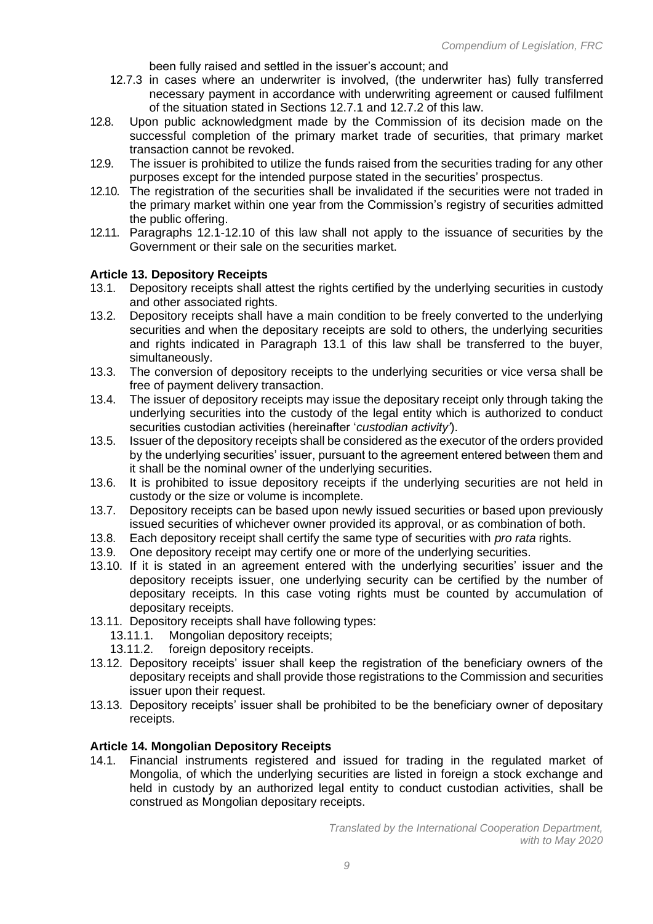been fully raised and settled in the issuer's account; and

- 12.7.3 in cases where an underwriter is involved, (the underwriter has) fully transferred necessary payment in accordance with underwriting agreement or caused fulfilment of the situation stated in Sections 12.7.1 and 12.7.2 of this law.
- 12.8. Upon public acknowledgment made by the Commission of its decision made on the successful completion of the primary market trade of securities, that primary market transaction cannot be revoked.
- 12.9. The issuer is prohibited to utilize the funds raised from the securities trading for any other purposes except for the intended purpose stated in the securities' prospectus.
- 12.10. The registration of the securities shall be invalidated if the securities were not traded in the primary market within one year from the Commission's registry of securities admitted the public offering.
- 12.11. Paragraphs 12.1-12.10 of this law shall not apply to the issuance of securities by the Government or their sale on the securities market.

### **Article 13. Depository Receipts**

- 13.1. Depository receipts shall attest the rights certified by the underlying securities in custody and other associated rights.
- 13.2. Depository receipts shall have a main condition to be freely converted to the underlying securities and when the depositary receipts are sold to others, the underlying securities and rights indicated in Paragraph 13.1 of this law shall be transferred to the buyer, simultaneously.
- 13.3. The conversion of depository receipts to the underlying securities or vice versa shall be free of payment delivery transaction.
- 13.4. The issuer of depository receipts may issue the depositary receipt only through taking the underlying securities into the custody of the legal entity which is authorized to conduct securities custodian activities (hereinafter '*custodian activity'*).
- 13.5. Issuer of the depository receipts shall be considered as the executor of the orders provided by the underlying securities' issuer, pursuant to the agreement entered between them and it shall be the nominal owner of the underlying securities.
- 13.6. It is prohibited to issue depository receipts if the underlying securities are not held in custody or the size or volume is incomplete.
- 13.7. Depository receipts can be based upon newly issued securities or based upon previously issued securities of whichever owner provided its approval, or as combination of both.
- 13.8. Each depository receipt shall certify the same type of securities with *pro rata* rights.
- 13.9. One depository receipt may certify one or more of the underlying securities.
- 13.10. If it is stated in an agreement entered with the underlying securities' issuer and the depository receipts issuer, one underlying security can be certified by the number of depositary receipts. In this case voting rights must be counted by accumulation of depositary receipts.
- 13.11. Depository receipts shall have following types:
	- 13.11.1. Mongolian depository receipts;
	- 13.11.2. foreign depository receipts.
- 13.12. Depository receipts' issuer shall keep the registration of the beneficiary owners of the depositary receipts and shall provide those registrations to the Commission and securities issuer upon their request.
- 13.13. Depository receipts' issuer shall be prohibited to be the beneficiary owner of depositary receipts.

#### **Article 14. Mongolian Depository Receipts**

14.1. Financial instruments registered and issued for trading in the regulated market of Mongolia, of which the underlying securities are listed in foreign a stock exchange and held in custody by an authorized legal entity to conduct custodian activities, shall be construed as Mongolian depositary receipts.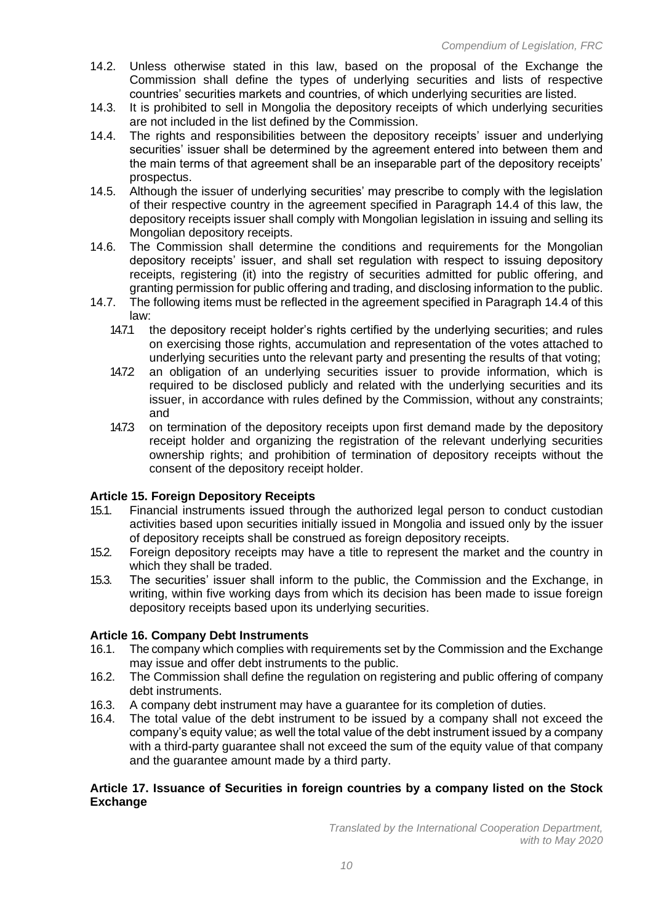- 14.2. Unless otherwise stated in this law, based on the proposal of the Exchange the Commission shall define the types of underlying securities and lists of respective countries' securities markets and countries, of which underlying securities are listed.
- 14.3. It is prohibited to sell in Mongolia the depository receipts of which underlying securities are not included in the list defined by the Commission.
- 14.4. The rights and responsibilities between the depository receipts' issuer and underlying securities' issuer shall be determined by the agreement entered into between them and the main terms of that agreement shall be an inseparable part of the depository receipts' prospectus.
- 14.5. Although the issuer of underlying securities' may prescribe to comply with the legislation of their respective country in the agreement specified in Paragraph 14.4 of this law, the depository receipts issuer shall comply with Mongolian legislation in issuing and selling its Mongolian depository receipts.
- 14.6. The Commission shall determine the conditions and requirements for the Mongolian depository receipts' issuer, and shall set regulation with respect to issuing depository receipts, registering (it) into the registry of securities admitted for public offering, and granting permission for public offering and trading, and disclosing information to the public.
- 14.7. The following items must be reflected in the agreement specified in Paragraph 14.4 of this law:
	- 14.7.1 the depository receipt holder's rights certified by the underlying securities; and rules on exercising those rights, accumulation and representation of the votes attached to underlying securities unto the relevant party and presenting the results of that voting;
	- 14.7.2 an obligation of an underlying securities issuer to provide information, which is required to be disclosed publicly and related with the underlying securities and its issuer, in accordance with rules defined by the Commission, without any constraints; and
	- 14.7.3 on termination of the depository receipts upon first demand made by the depository receipt holder and organizing the registration of the relevant underlying securities ownership rights; and prohibition of termination of depository receipts without the consent of the depository receipt holder.

# **Article 15. Foreign Depository Receipts**

- 15.1. Financial instruments issued through the authorized legal person to conduct custodian activities based upon securities initially issued in Mongolia and issued only by the issuer of depository receipts shall be construed as foreign depository receipts.
- 15.2. Foreign depository receipts may have a title to represent the market and the country in which they shall be traded.
- 15.3. The securities' issuer shall inform to the public, the Commission and the Exchange, in writing, within five working days from which its decision has been made to issue foreign depository receipts based upon its underlying securities.

# **Article 16. Company Debt Instruments**

- 16.1. The company which complies with requirements set by the Commission and the Exchange may issue and offer debt instruments to the public.
- 16.2. The Commission shall define the regulation on registering and public offering of company debt instruments.
- 16.3. A company debt instrument may have a guarantee for its completion of duties.
- 16.4. The total value of the debt instrument to be issued by a company shall not exceed the company's equity value; as well the total value of the debt instrument issued by a company with a third-party guarantee shall not exceed the sum of the equity value of that company and the guarantee amount made by a third party.

### **Article 17. Issuance of Securities in foreign countries by a company listed on the Stock Exchange**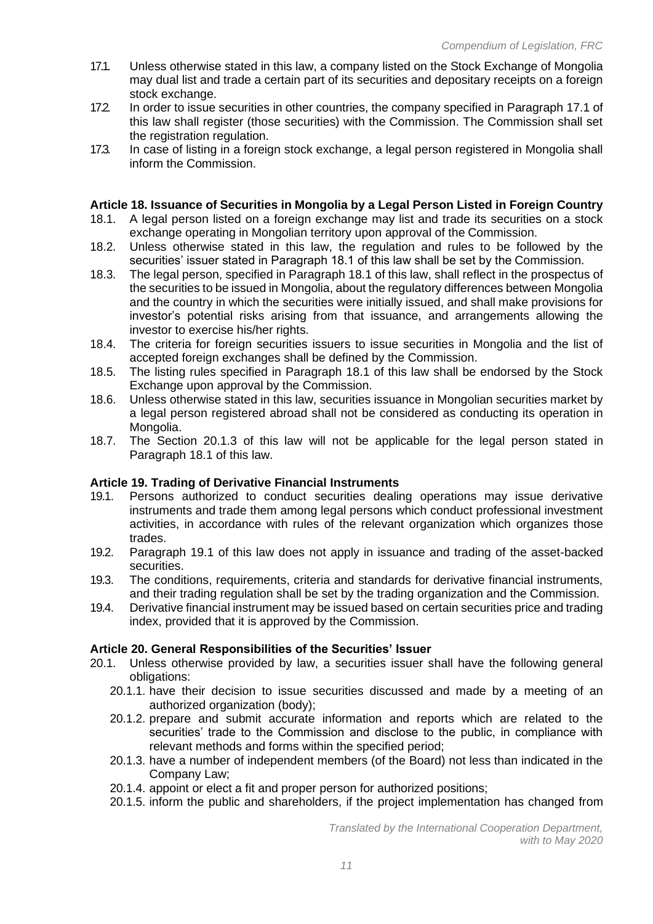- 17.1. Unless otherwise stated in this law, a company listed on the Stock Exchange of Mongolia may dual list and trade a certain part of its securities and depositary receipts on a foreign stock exchange.
- 17.2. In order to issue securities in other countries, the company specified in Paragraph 17.1 of this law shall register (those securities) with the Commission. The Commission shall set the registration regulation.
- 17.3. In case of listing in a foreign stock exchange, a legal person registered in Mongolia shall inform the Commission.

# **Article 18. Issuance of Securities in Mongolia by a Legal Person Listed in Foreign Country**

- 18.1. A legal person listed on a foreign exchange may list and trade its securities on a stock exchange operating in Mongolian territory upon approval of the Commission.
- 18.2. Unless otherwise stated in this law, the regulation and rules to be followed by the securities' issuer stated in Paragraph 18.1 of this law shall be set by the Commission.
- 18.3. The legal person, specified in Paragraph 18.1 of this law, shall reflect in the prospectus of the securities to be issued in Mongolia, about the regulatory differences between Mongolia and the country in which the securities were initially issued, and shall make provisions for investor's potential risks arising from that issuance, and arrangements allowing the investor to exercise his/her rights.
- 18.4. The criteria for foreign securities issuers to issue securities in Mongolia and the list of accepted foreign exchanges shall be defined by the Commission.
- 18.5. The listing rules specified in Paragraph 18.1 of this law shall be endorsed by the Stock Exchange upon approval by the Commission.
- 18.6. Unless otherwise stated in this law, securities issuance in Mongolian securities market by a legal person registered abroad shall not be considered as conducting its operation in Mongolia.
- 18.7. The Section 20.1.3 of this law will not be applicable for the legal person stated in Paragraph 18.1 of this law.

### **Article 19. Trading of Derivative Financial Instruments**

- 19.1. Persons authorized to conduct securities dealing operations may issue derivative instruments and trade them among legal persons which conduct professional investment activities, in accordance with rules of the relevant organization which organizes those trades.
- 19.2. Paragraph 19.1 of this law does not apply in issuance and trading of the asset-backed securities.
- 19.3. The conditions, requirements, criteria and standards for derivative financial instruments, and their trading regulation shall be set by the trading organization and the Commission.
- 19.4. Derivative financial instrument may be issued based on certain securities price and trading index, provided that it is approved by the Commission.

### **Article 20. General Responsibilities of the Securities' Issuer**

- 20.1. Unless otherwise provided by law, a securities issuer shall have the following general obligations:
	- 20.1.1. have their decision to issue securities discussed and made by a meeting of an authorized organization (body);
	- 20.1.2. prepare and submit accurate information and reports which are related to the securities' trade to the Commission and disclose to the public, in compliance with relevant methods and forms within the specified period;
	- 20.1.3. have a number of independent members (of the Board) not less than indicated in the Company Law;
	- 20.1.4. appoint or elect a fit and proper person for authorized positions;
	- 20.1.5. inform the public and shareholders, if the project implementation has changed from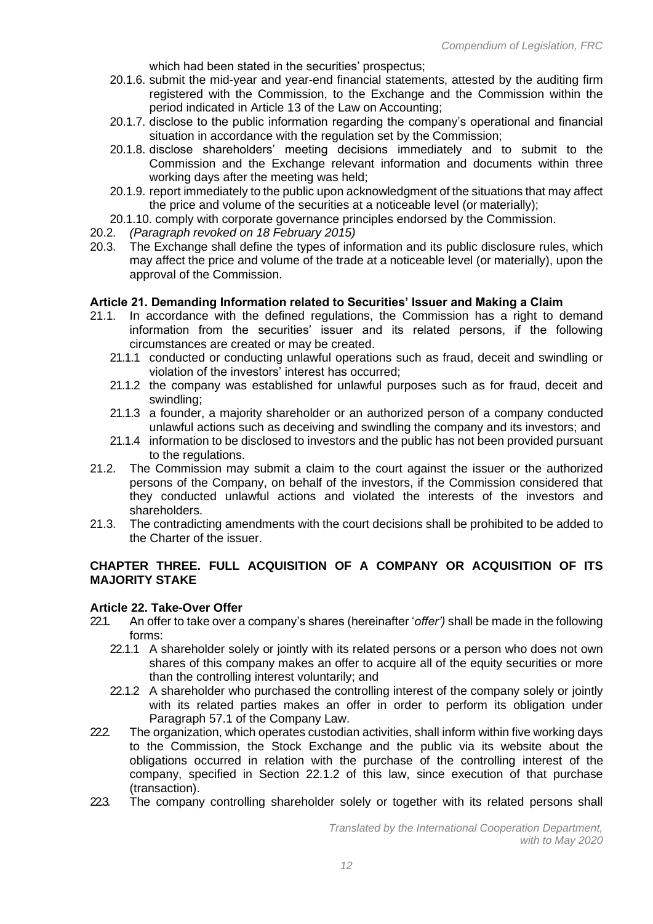which had been stated in the securities' prospectus;

- 20.1.6. submit the mid-year and year-end financial statements, attested by the auditing firm registered with the Commission, to the Exchange and the Commission within the period indicated in Article 13 of the Law on Accounting;
- 20.1.7. disclose to the public information regarding the company's operational and financial situation in accordance with the regulation set by the Commission;
- 20.1.8. disclose shareholders' meeting decisions immediately and to submit to the Commission and the Exchange relevant information and documents within three working days after the meeting was held;
- 20.1.9. report immediately to the public upon acknowledgment of the situations that may affect the price and volume of the securities at a noticeable level (or materially);
- 20.1.10. comply with corporate governance principles endorsed by the Commission.
- 20.2. *(Paragraph revoked on 18 February 2015)*
- 20.3. The Exchange shall define the types of information and its public disclosure rules, which may affect the price and volume of the trade at a noticeable level (or materially), upon the approval of the Commission.

#### **Article 21. Demanding Information related to Securities' Issuer and Making a Claim**

- 21.1. In accordance with the defined regulations, the Commission has a right to demand information from the securities' issuer and its related persons, if the following circumstances are created or may be created.
	- 21.1.1 conducted or conducting unlawful operations such as fraud, deceit and swindling or violation of the investors' interest has occurred;
	- 21.1.2 the company was established for unlawful purposes such as for fraud, deceit and swindling;
	- 21.1.3 a founder, a majority shareholder or an authorized person of a company conducted unlawful actions such as deceiving and swindling the company and its investors; and
	- 21.1.4 information to be disclosed to investors and the public has not been provided pursuant to the regulations.
- 21.2. The Commission may submit a claim to the court against the issuer or the authorized persons of the Company, on behalf of the investors, if the Commission considered that they conducted unlawful actions and violated the interests of the investors and shareholders.
- 21.3. The contradicting amendments with the court decisions shall be prohibited to be added to the Charter of the issuer.

### **CHAPTER THREE. FULL ACQUISITION OF A COMPANY OR ACQUISITION OF ITS MAJORITY STAKE**

### **Article 22. Take-Over Offer**

- 22.1. An offer to take over a company's shares (hereinafter '*offer')* shall be made in the following forms:
	- 22.1.1 A shareholder solely or jointly with its related persons or a person who does not own shares of this company makes an offer to acquire all of the equity securities or more than the controlling interest voluntarily; and
	- 22.1.2 A shareholder who purchased the controlling interest of the company solely or jointly with its related parties makes an offer in order to perform its obligation under Paragraph 57.1 of the Company Law.
- 22. The organization, which operates custodian activities, shall inform within five working days to the Commission, the Stock Exchange and the public via its website about the obligations occurred in relation with the purchase of the controlling interest of the company, specified in Section 22.1.2 of this law, since execution of that purchase (transaction).
- 22.3. The company controlling shareholder solely or together with its related persons shall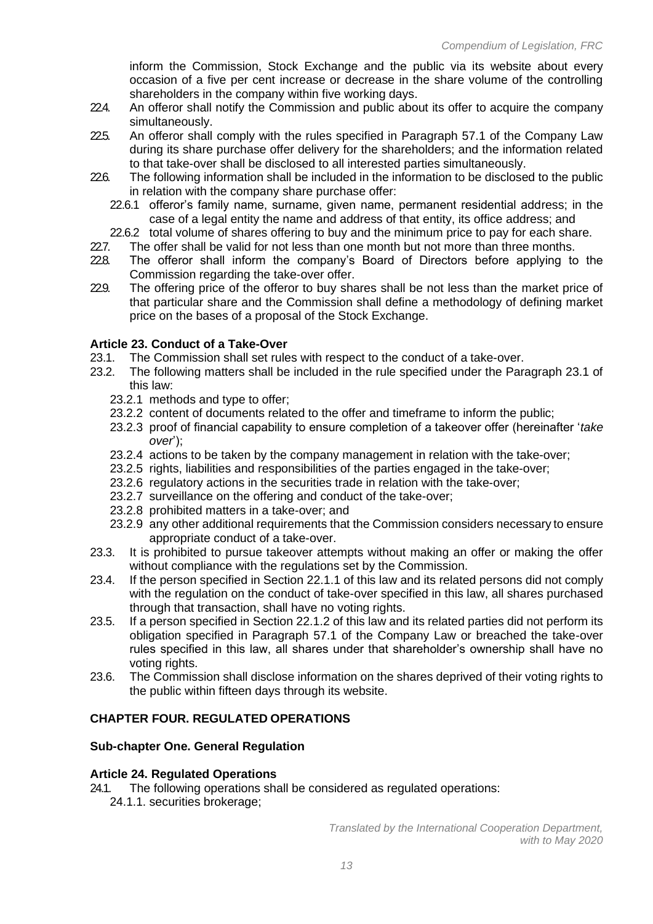inform the Commission, Stock Exchange and the public via its website about every occasion of a five per cent increase or decrease in the share volume of the controlling shareholders in the company within five working days.

- 224. An offeror shall notify the Commission and public about its offer to acquire the company simultaneously.
- 22.5. An offeror shall comply with the rules specified in Paragraph 57.1 of the Company Law during its share purchase offer delivery for the shareholders; and the information related to that take-over shall be disclosed to all interested parties simultaneously.
- 22.6. The following information shall be included in the information to be disclosed to the public in relation with the company share purchase offer:
	- 22.6.1 offeror's family name, surname, given name, permanent residential address; in the case of a legal entity the name and address of that entity, its office address; and
	- 22.6.2 total volume of shares offering to buy and the minimum price to pay for each share.
- 227. The offer shall be valid for not less than one month but not more than three months.
- 22.8. The offeror shall inform the company's Board of Directors before applying to the Commission regarding the take-over offer.
- 229. The offering price of the offeror to buy shares shall be not less than the market price of that particular share and the Commission shall define a methodology of defining market price on the bases of a proposal of the Stock Exchange.

# **Article 23. Conduct of a Take-Over**

- 23.1. The Commission shall set rules with respect to the conduct of a take-over.
- 23.2. The following matters shall be included in the rule specified under the Paragraph 23.1 of this law:
	- 23.2.1 methods and type to offer;
	- 23.2.2 content of documents related to the offer and timeframe to inform the public;
	- 23.2.3 proof of financial capability to ensure completion of a takeover offer (hereinafter '*take over*');
	- 23.2.4 actions to be taken by the company management in relation with the take-over;
	- 23.2.5 rights, liabilities and responsibilities of the parties engaged in the take-over;
	- 23.2.6 regulatory actions in the securities trade in relation with the take-over;
	- 23.2.7 surveillance on the offering and conduct of the take-over;
	- 23.2.8 prohibited matters in a take-over; and
	- 23.2.9 any other additional requirements that the Commission considers necessary to ensure appropriate conduct of a take-over.
- 23.3. It is prohibited to pursue takeover attempts without making an offer or making the offer without compliance with the regulations set by the Commission.
- 23.4. If the person specified in Section 22.1.1 of this law and its related persons did not comply with the regulation on the conduct of take-over specified in this law, all shares purchased through that transaction, shall have no voting rights.
- 23.5. If a person specified in Section 22.1.2 of this law and its related parties did not perform its obligation specified in Paragraph 57.1 of the Company Law or breached the take-over rules specified in this law, all shares under that shareholder's ownership shall have no voting rights.
- 23.6. The Commission shall disclose information on the shares deprived of their voting rights to the public within fifteen days through its website.

# **CHAPTER FOUR. REGULATED OPERATIONS**

# **Sub-chapter One. General Regulation**

### **Article 24. Regulated Operations**

24.1. The following operations shall be considered as regulated operations: 24.1.1. securities brokerage;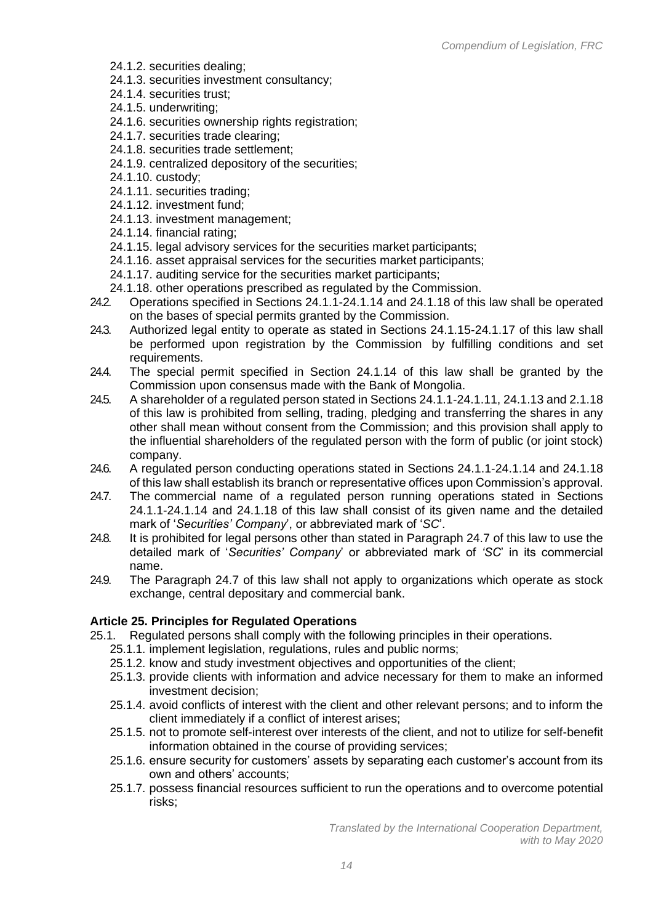- 24.1.2. securities dealing;
- 24.1.3. securities investment consultancy;
- 24.1.4. securities trust;
- 24.1.5. underwriting;
- 24.1.6. securities ownership rights registration;
- 24.1.7. securities trade clearing;
- 24.1.8. securities trade settlement;
- 24.1.9. centralized depository of the securities;
- 24.1.10. custody;
- 24.1.11. securities trading;
- 24.1.12. investment fund;
- 24.1.13. investment management;
- 24.1.14. financial rating;
- 24.1.15. legal advisory services for the securities market participants;
- 24.1.16. asset appraisal services for the securities market participants;
- 24.1.17. auditing service for the securities market participants;
- 24.1.18. other operations prescribed as regulated by the Commission.
- 24.2. Operations specified in Sections 24.1.1-24.1.14 and 24.1.18 of this law shall be operated on the bases of special permits granted by the Commission.
- 24.3. Authorized legal entity to operate as stated in Sections 24.1.15-24.1.17 of this law shall be performed upon registration by the Commission by fulfilling conditions and set requirements.
- 24.4. The special permit specified in Section 24.1.14 of this law shall be granted by the Commission upon consensus made with the Bank of Mongolia.
- 24.5. A shareholder of a regulated person stated in Sections 24.1.1-24.1.11, 24.1.13 and 2.1.18 of this law is prohibited from selling, trading, pledging and transferring the shares in any other shall mean without consent from the Commission; and this provision shall apply to the influential shareholders of the regulated person with the form of public (or joint stock) company.
- 24.6. A regulated person conducting operations stated in Sections 24.1.1-24.1.14 and 24.1.18 of this law shall establish its branch or representative offices upon Commission's approval.
- 24.7. The commercial name of a regulated person running operations stated in Sections 24.1.1-24.1.14 and 24.1.18 of this law shall consist of its given name and the detailed mark of '*Securities' Company*', or abbreviated mark of '*SC*'.
- 24.8. It is prohibited for legal persons other than stated in Paragraph 24.7 of this law to use the detailed mark of '*Securities' Company*' or abbreviated mark of *'SC*' in its commercial name.
- 24.9. The Paragraph 24.7 of this law shall not apply to organizations which operate as stock exchange, central depositary and commercial bank.

# **Article 25. Principles for Regulated Operations**

- 25.1. Regulated persons shall comply with the following principles in their operations.
	- 25.1.1. implement legislation, regulations, rules and public norms;
	- 25.1.2. know and study investment objectives and opportunities of the client;
	- 25.1.3. provide clients with information and advice necessary for them to make an informed investment decision;
	- 25.1.4. avoid conflicts of interest with the client and other relevant persons; and to inform the client immediately if a conflict of interest arises;
	- 25.1.5. not to promote self-interest over interests of the client, and not to utilize for self-benefit information obtained in the course of providing services;
	- 25.1.6. ensure security for customers' assets by separating each customer's account from its own and others' accounts;
	- 25.1.7. possess financial resources sufficient to run the operations and to overcome potential risks;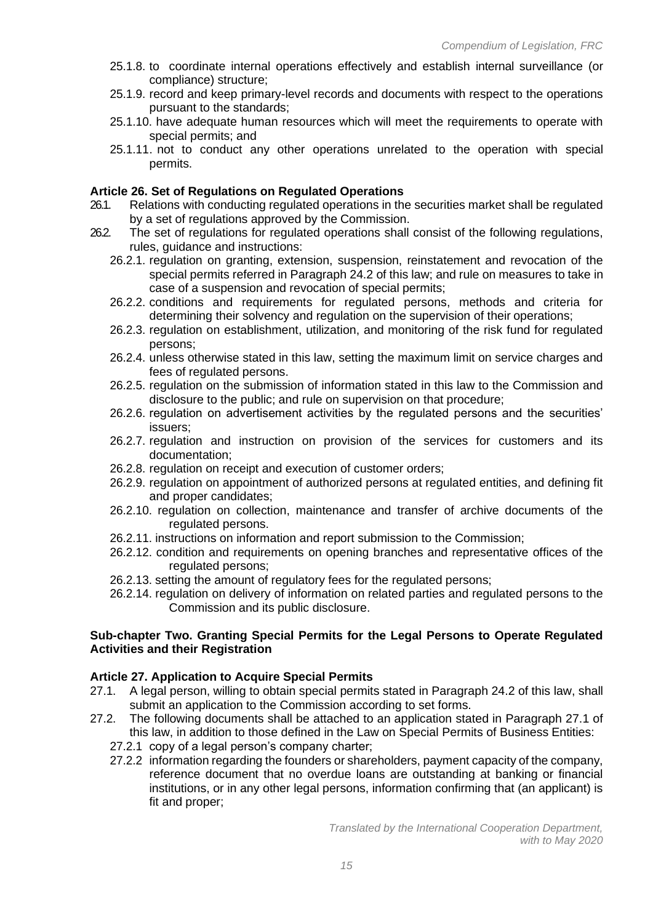- 25.1.8. to coordinate internal operations effectively and establish internal surveillance (or compliance) structure;
- 25.1.9. record and keep primary-level records and documents with respect to the operations pursuant to the standards;
- 25.1.10. have adequate human resources which will meet the requirements to operate with special permits; and
- 25.1.11. not to conduct any other operations unrelated to the operation with special permits.

# **Article 26. Set of Regulations on Regulated Operations**

- 26.1. Relations with conducting regulated operations in the securities market shall be regulated by a set of regulations approved by the Commission.
- 26.2. The set of regulations for regulated operations shall consist of the following regulations, rules, guidance and instructions:
	- 26.2.1. regulation on granting, extension, suspension, reinstatement and revocation of the special permits referred in Paragraph 24.2 of this law; and rule on measures to take in case of a suspension and revocation of special permits;
	- 26.2.2. conditions and requirements for regulated persons, methods and criteria for determining their solvency and regulation on the supervision of their operations;
	- 26.2.3. regulation on establishment, utilization, and monitoring of the risk fund for regulated persons;
	- 26.2.4. unless otherwise stated in this law, setting the maximum limit on service charges and fees of regulated persons.
	- 26.2.5. regulation on the submission of information stated in this law to the Commission and disclosure to the public; and rule on supervision on that procedure;
	- 26.2.6. regulation on advertisement activities by the regulated persons and the securities' issuers;
	- 26.2.7. regulation and instruction on provision of the services for customers and its documentation;
	- 26.2.8. regulation on receipt and execution of customer orders;
	- 26.2.9. regulation on appointment of authorized persons at regulated entities, and defining fit and proper candidates;
	- 26.2.10. regulation on collection, maintenance and transfer of archive documents of the regulated persons.
	- 26.2.11. instructions on information and report submission to the Commission;
	- 26.2.12. condition and requirements on opening branches and representative offices of the regulated persons;
	- 26.2.13. setting the amount of regulatory fees for the regulated persons;
	- 26.2.14. regulation on delivery of information on related parties and regulated persons to the Commission and its public disclosure.

### **Sub-chapter Two. Granting Special Permits for the Legal Persons to Operate Regulated Activities and their Registration**

### **Article 27. Application to Acquire Special Permits**

- 27.1. A legal person, willing to obtain special permits stated in Paragraph 24.2 of this law, shall submit an application to the Commission according to set forms.
- 27.2. The following documents shall be attached to an application stated in Paragraph 27.1 of this law, in addition to those defined in the Law on Special Permits of Business Entities:
	- 27.2.1 copy of a legal person's company charter;
	- 27.2.2 information regarding the founders or shareholders, payment capacity of the company, reference document that no overdue loans are outstanding at banking or financial institutions, or in any other legal persons, information confirming that (an applicant) is fit and proper;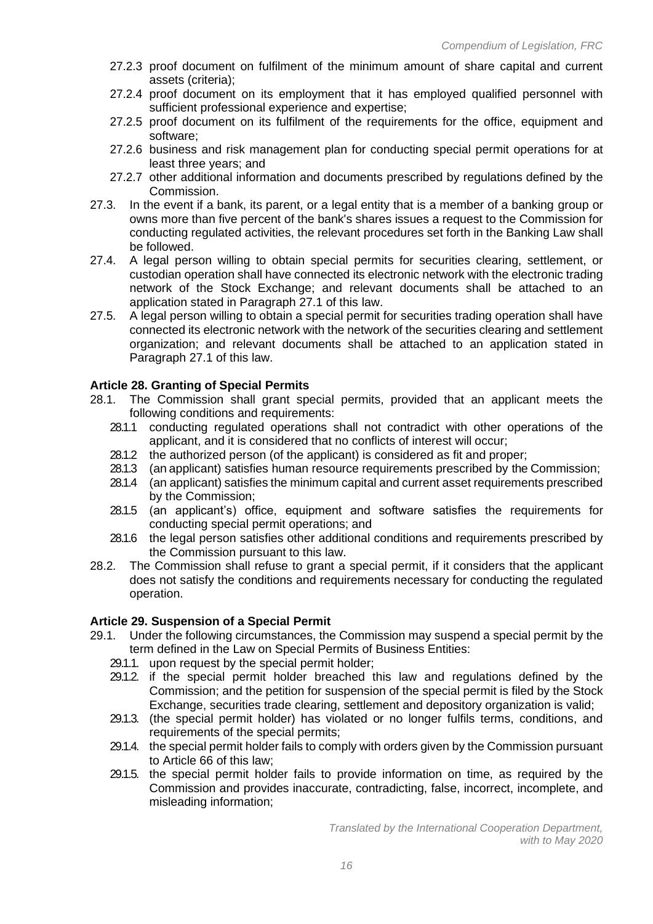- 27.2.3 proof document on fulfilment of the minimum amount of share capital and current assets (criteria);
- 27.2.4 proof document on its employment that it has employed qualified personnel with sufficient professional experience and expertise;
- 27.2.5 proof document on its fulfilment of the requirements for the office, equipment and software;
- 27.2.6 business and risk management plan for conducting special permit operations for at least three years; and
- 27.2.7 other additional information and documents prescribed by regulations defined by the Commission.
- 27.3. In the event if a bank, its parent, or a legal entity that is a member of a banking group or owns more than five percent of the bank's shares issues a request to the Commission for conducting regulated activities, the relevant procedures set forth in the Banking Law shall be followed.
- 27.4. A legal person willing to obtain special permits for securities clearing, settlement, or custodian operation shall have connected its electronic network with the electronic trading network of the Stock Exchange; and relevant documents shall be attached to an application stated in Paragraph 27.1 of this law.
- 27.5. A legal person willing to obtain a special permit for securities trading operation shall have connected its electronic network with the network of the securities clearing and settlement organization; and relevant documents shall be attached to an application stated in Paragraph 27.1 of this law.

### **Article 28. Granting of Special Permits**

- 28.1. The Commission shall grant special permits, provided that an applicant meets the following conditions and requirements:
	- 28.1.1 conducting regulated operations shall not contradict with other operations of the applicant, and it is considered that no conflicts of interest will occur;
	- 28.1.2 the authorized person (of the applicant) is considered as fit and proper;
	- 28.1.3 (an applicant) satisfies human resource requirements prescribed by the Commission;
	- 28.1.4 (an applicant) satisfies the minimum capital and current asset requirements prescribed by the Commission;
	- 28.1.5 (an applicant's) office, equipment and software satisfies the requirements for conducting special permit operations; and
	- 28.1.6 the legal person satisfies other additional conditions and requirements prescribed by the Commission pursuant to this law.
- 28.2. The Commission shall refuse to grant a special permit, if it considers that the applicant does not satisfy the conditions and requirements necessary for conducting the regulated operation.

# **Article 29. Suspension of a Special Permit**

- 29.1. Under the following circumstances, the Commission may suspend a special permit by the term defined in the Law on Special Permits of Business Entities:
	- 29.1.1. upon request by the special permit holder;
	- 29.1.2. if the special permit holder breached this law and regulations defined by the Commission; and the petition for suspension of the special permit is filed by the Stock Exchange, securities trade clearing, settlement and depository organization is valid;
	- 29.1.3. (the special permit holder) has violated or no longer fulfils terms, conditions, and requirements of the special permits;
	- 29.1.4. the special permit holder fails to comply with orders given by the Commission pursuant to Article 66 of this law;
	- 29.1.5. the special permit holder fails to provide information on time, as required by the Commission and provides inaccurate, contradicting, false, incorrect, incomplete, and misleading information;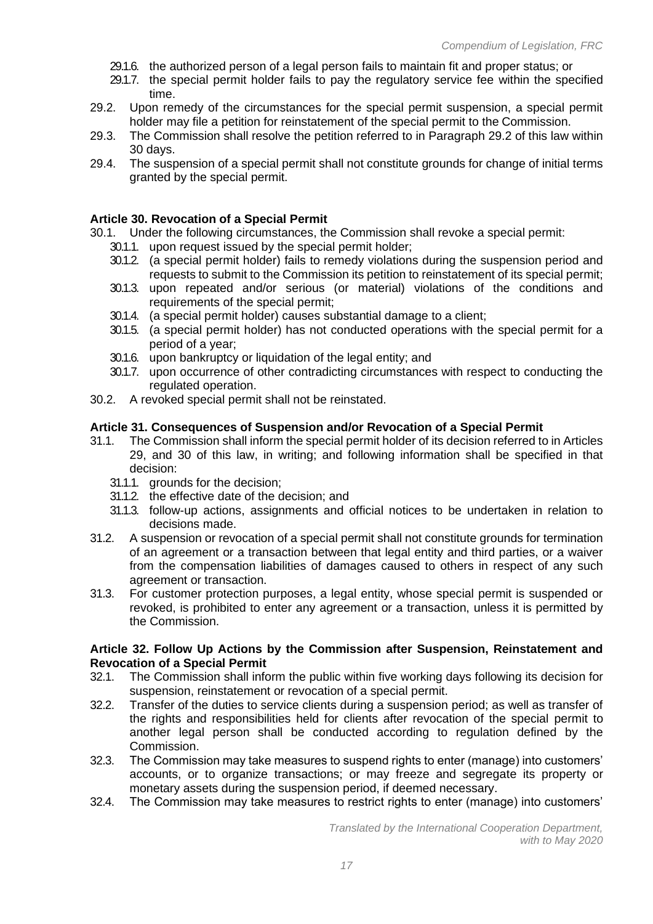- 29.1.6. the authorized person of a legal person fails to maintain fit and proper status; or
- 29.1.7. the special permit holder fails to pay the regulatory service fee within the specified time.
- 29.2. Upon remedy of the circumstances for the special permit suspension, a special permit holder may file a petition for reinstatement of the special permit to the Commission.
- <span id="page-17-0"></span>29.3. The Commission shall resolve the petition referred to in Paragraph 29.2 of this law within 30 days.
- 29.4. The suspension of a special permit shall not constitute grounds for change of initial terms granted by the special permit.

#### **Article 30. Revocation of a Special Permit**

30.1. Under the following circumstances, the Commission shall revoke a special permit:

- 30.1.1. upon request issued by the special permit holder;
- 30.1.2. (a special permit holder) fails to remedy violations during the suspension period and requests to submit to the Commission its petition to reinstatement of its special permit;
- 30.1.3. upon repeated and/or serious (or material) violations of the conditions and requirements of the special permit;
- 30.1.4. (a special permit holder) causes substantial damage to a client;
- 30.1.5. (a special permit holder) has not conducted operations with the special permit for a period of a year;
- 30.1.6. upon bankruptcy or liquidation of the legal entity; and
- 30.1.7. upon occurrence of other contradicting circumstances with respect to conducting the regulated operation.
- 30.2. A revoked special permit shall not be reinstated.

#### **Article 31. Consequences of Suspension and/or Revocation of a Special Permit**

- 31.1. The Commission shall inform the special permit holder of its decision referred to in Article[s](#page-17-0) [29, and 30](#page-17-0) of this law, in writing; and following information shall be specified in that decision:
	- 31.1.1. grounds for the decision;
	- 31.1.2. the effective date of the decision; and
	- 31.1.3. follow-up actions, assignments and official notices to be undertaken in relation to decisions made.
- 31.2. A suspension or revocation of a special permit shall not constitute grounds for termination of an agreement or a transaction between that legal entity and third parties, or a waiver from the compensation liabilities of damages caused to others in respect of any such agreement or transaction.
- 31.3. For customer protection purposes, a legal entity, whose special permit is suspended or revoked, is prohibited to enter any agreement or a transaction, unless it is permitted by the Commission.

#### **Article 32. Follow Up Actions by the Commission after Suspension, Reinstatement and Revocation of a Special Permit**

- 32.1. The Commission shall inform the public within five working days following its decision for suspension, reinstatement or revocation of a special permit.
- 32.2. Transfer of the duties to service clients during a suspension period; as well as transfer of the rights and responsibilities held for clients after revocation of the special permit to another legal person shall be conducted according to regulation defined by the Commission.
- 32.3. The Commission may take measures to suspend rights to enter (manage) into customers' accounts, or to organize transactions; or may freeze and segregate its property or monetary assets during the suspension period, if deemed necessary.
- 32.4. The Commission may take measures to restrict rights to enter (manage) into customers'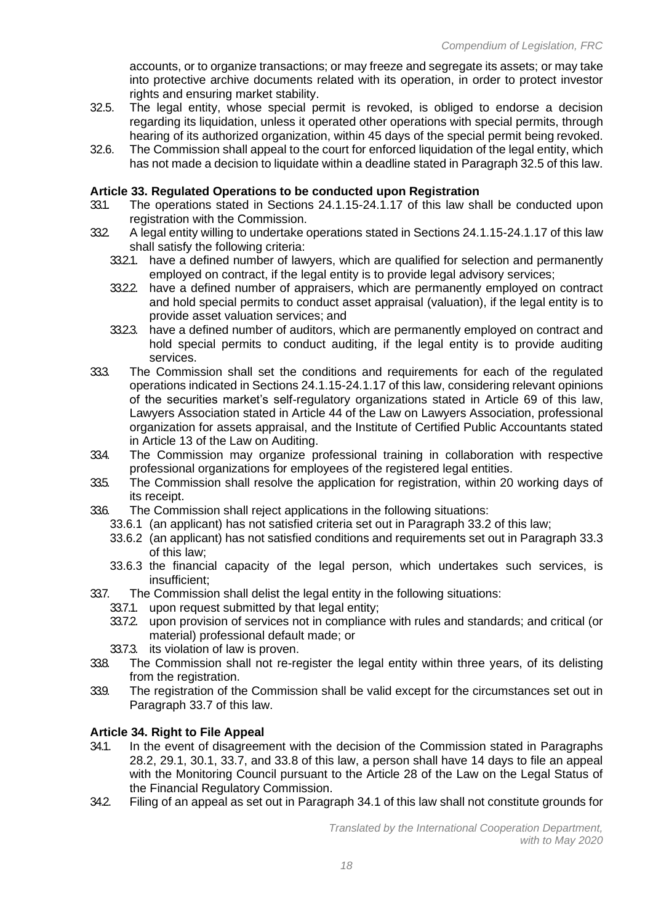accounts, or to organize transactions; or may freeze and segregate its assets; or may take into protective archive documents related with its operation, in order to protect investor rights and ensuring market stability.

- 32.5. The legal entity, whose special permit is revoked, is obliged to endorse a decision regarding its liquidation, unless it operated other operations with special permits, through hearing of its authorized organization, within 45 days of the special permit being revoked.
- 32.6. The Commission shall appeal to the court for enforced liquidation of the legal entity, which has not made a decision to liquidate within a deadline stated in Paragraph 32.5 of this law.

### **Article 33. Regulated Operations to be conducted upon Registration**

- 33.1. The operations stated in Sections 24.1.15-24.1.17 of this law shall be conducted upon registration with the Commission.
- 332 A legal entity willing to undertake operations stated in Sections 24.1.15-24.1.17 of this law shall satisfy the following criteria:
	- 33.2.1. have a defined number of lawyers, which are qualified for selection and permanently employed on contract, if the legal entity is to provide legal advisory services;
	- 33.2.2. have a defined number of appraisers, which are permanently employed on contract and hold special permits to conduct asset appraisal (valuation), if the legal entity is to provide asset valuation services; and
	- 33.2.3. have a defined number of auditors, which are permanently employed on contract and hold special permits to conduct auditing, if the legal entity is to provide auditing services.
- 33.3. The Commission shall set the conditions and requirements for each of the regulated operations indicated in Sections 24.1.15-24.1.17 of this law, considering relevant opinions of the securities market's self-regulatory organizations stated in Article 69 of this law, Lawyers Association stated in Article 44 of the Law on Lawyers Association, professional organization for assets appraisal, and the Institute of Certified Public Accountants stated in Article 13 of the Law on Auditing.
- 33.4. The Commission may organize professional training in collaboration with respective professional organizations for employees of the registered legal entities.
- 33.5. The Commission shall resolve the application for registration, within 20 working days of its receipt.
- 33.6. The Commission shall reject applications in the following situations:
	- 33.6.1 (an applicant) has not satisfied criteria set out in Paragraph 33.2 of this law;
	- 33.6.2 (an applicant) has not satisfied conditions and requirements set out in Paragraph 33.3 of this law;
	- 33.6.3 the financial capacity of the legal person, which undertakes such services, is insufficient;
- 33.7. The Commission shall delist the legal entity in the following situations:
	- 33.7.1. upon request submitted by that legal entity;
	- 33.7.2. upon provision of services not in compliance with rules and standards; and critical (or material) professional default made; or
	- 33.7.3. its violation of law is proven.
- 33.8. The Commission shall not re-register the legal entity within three years, of its delisting from the registration.
- 33.9. The registration of the Commission shall be valid except for the circumstances set out in Paragraph 33.7 of this law.

#### **Article 34. Right to File Appeal**

- 34.1. In the event of disagreement with the decision of the Commission stated in Paragraphs 28.2, 29.1, 30.1, 33.7, and 33.8 of this law, a person shall have 14 days to file an appeal with the Monitoring Council pursuant to the Article 28 of the Law on the Legal Status of the Financial Regulatory Commission.
- 34.2. Filing of an appeal as set out in Paragraph 34.1 of this law shall not constitute grounds for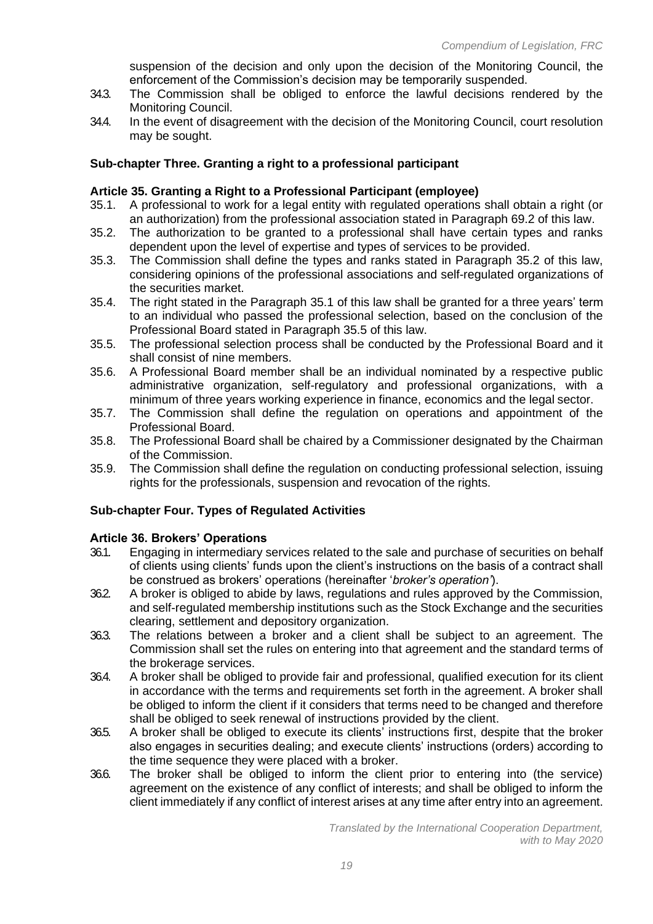suspension of the decision and only upon the decision of the Monitoring Council, the enforcement of the Commission's decision may be temporarily suspended.

- 34.3. The Commission shall be obliged to enforce the lawful decisions rendered by the Monitoring Council.
- 34.4. In the event of disagreement with the decision of the Monitoring Council, court resolution may be sought.

### **Sub-chapter Three. Granting a right to a professional participant**

### **Article 35. Granting a Right to a Professional Participant (employee)**

- 35.1. A professional to work for a legal entity with regulated operations shall obtain a right (or an authorization) from the professional association stated in Paragraph 69.2 of this law.
- 35.2. The authorization to be granted to a professional shall have certain types and ranks dependent upon the level of expertise and types of services to be provided.
- 35.3. The Commission shall define the types and ranks stated in Paragraph 35.2 of this law, considering opinions of the professional associations and self-regulated organizations of the securities market.
- 35.4. The right stated in the Paragraph 35.1 of this law shall be granted for a three years' term to an individual who passed the professional selection, based on the conclusion of the Professional Board stated in Paragraph 35.5 of this law.
- 35.5. The professional selection process shall be conducted by the Professional Board and it shall consist of nine members.
- 35.6. A Professional Board member shall be an individual nominated by a respective public administrative organization, self-regulatory and professional organizations, with a minimum of three years working experience in finance, economics and the legal sector.
- 35.7. The Commission shall define the regulation on operations and appointment of the Professional Board.
- 35.8. The Professional Board shall be chaired by a Commissioner designated by the Chairman of the Commission.
- 35.9. The Commission shall define the regulation on conducting professional selection, issuing rights for the professionals, suspension and revocation of the rights.

# **Sub-chapter Four. Types of Regulated Activities**

### **Article 36. Brokers' Operations**

- 36.1. Engaging in intermediary services related to the sale and purchase of securities on behalf of clients using clients' funds upon the client's instructions on the basis of a contract shall be construed as brokers' operations (hereinafter '*broker's operation'*).
- 36.2. A broker is obliged to abide by laws, regulations and rules approved by the Commission, and self-regulated membership institutions such as the Stock Exchange and the securities clearing, settlement and depository organization.
- 36.3. The relations between a broker and a client shall be subject to an agreement. The Commission shall set the rules on entering into that agreement and the standard terms of the brokerage services.
- 36.4. A broker shall be obliged to provide fair and professional, qualified execution for its client in accordance with the terms and requirements set forth in the agreement. A broker shall be obliged to inform the client if it considers that terms need to be changed and therefore shall be obliged to seek renewal of instructions provided by the client.
- 36.5. A broker shall be obliged to execute its clients' instructions first, despite that the broker also engages in securities dealing; and execute clients' instructions (orders) according to the time sequence they were placed with a broker.
- 36.6. The broker shall be obliged to inform the client prior to entering into (the service) agreement on the existence of any conflict of interests; and shall be obliged to inform the client immediately if any conflict of interest arises at any time after entry into an agreement.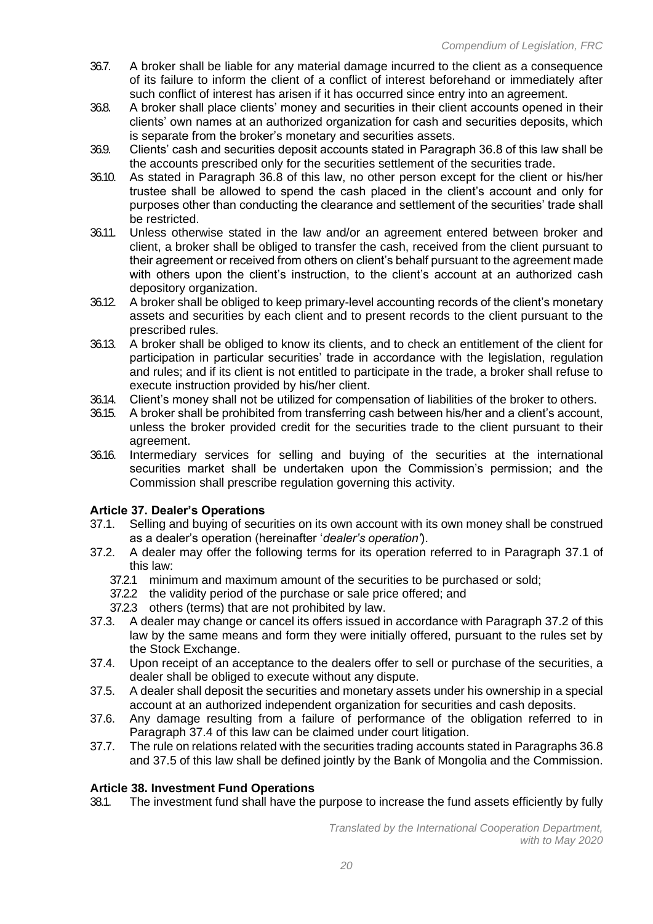- 36.7. A broker shall be liable for any material damage incurred to the client as a consequence of its failure to inform the client of a conflict of interest beforehand or immediately after such conflict of interest has arisen if it has occurred since entry into an agreement.
- 36.8. A broker shall place clients' money and securities in their client accounts opened in their clients' own names at an authorized organization for cash and securities deposits, which is separate from the broker's monetary and securities assets.
- 36.9. Clients' cash and securities deposit accounts stated in Paragraph 36.8 of this law shall be the accounts prescribed only for the securities settlement of the securities trade.
- 36.10. As stated in Paragraph 36.8 of this law, no other person except for the client or his/her trustee shall be allowed to spend the cash placed in the client's account and only for purposes other than conducting the clearance and settlement of the securities' trade shall be restricted.
- 36.11. Unless otherwise stated in the law and/or an agreement entered between broker and client, a broker shall be obliged to transfer the cash, received from the client pursuant to their agreement or received from others on client's behalf pursuant to the agreement made with others upon the client's instruction, to the client's account at an authorized cash depository organization.
- 36.12. A broker shall be obliged to keep primary-level accounting records of the client's monetary assets and securities by each client and to present records to the client pursuant to the prescribed rules.
- 36.13. A broker shall be obliged to know its clients, and to check an entitlement of the client for participation in particular securities' trade in accordance with the legislation, regulation and rules; and if its client is not entitled to participate in the trade, a broker shall refuse to execute instruction provided by his/her client.
- 36.14. Client's money shall not be utilized for compensation of liabilities of the broker to others.
- 36.15. A broker shall be prohibited from transferring cash between his/her and a client's account, unless the broker provided credit for the securities trade to the client pursuant to their agreement.
- <span id="page-20-0"></span>36.16. Intermediary services for selling and buying of the securities at the international securities market shall be undertaken upon the Commission's permission; and the Commission shall prescribe regulation governing this activity.

# **Article 37. Dealer's Operations**

- <span id="page-20-1"></span>37.1. Selling and buying of securities on its own account with its own money shall be construed as a dealer's operation (hereinafter '*dealer's operation'*).
- 37.2. A dealer may offer the following terms for its operation referred to in Paragraph [37.1 o](#page-20-0)f this law:
	- 37.2.1 minimum and maximum amount of the securities to be purchased or sold;
	- 37.2.2 the validity period of the purchase or sale price offered; and
	- 37.2.3 others (terms) that are not prohibited by law.
- 37.3. A dealer may change or cancel its offers issued in accordance with Paragraph [37.2](#page-20-1) of this law by the same means and form they were initially offered, pursuant to the rules set by the Stock Exchange.
- 37.4. Upon receipt of an acceptance to the dealers offer to sell or purchase of the securities, a dealer shall be obliged to execute without any dispute.
- 37.5. A dealer shall deposit the securities and monetary assets under his ownership in a special account at an authorized independent organization for securities and cash deposits.
- 37.6. Any damage resulting from a failure of performance of the obligation referred to in Paragraph 37.4 of this law can be claimed under court litigation.
- 37.7. The rule on relations related with the securities trading accounts stated in Paragraphs 36.8 and 37.5 of this law shall be defined jointly by the Bank of Mongolia and the Commission.

# **Article 38. Investment Fund Operations**

38.1. The investment fund shall have the purpose to increase the fund assets efficiently by fully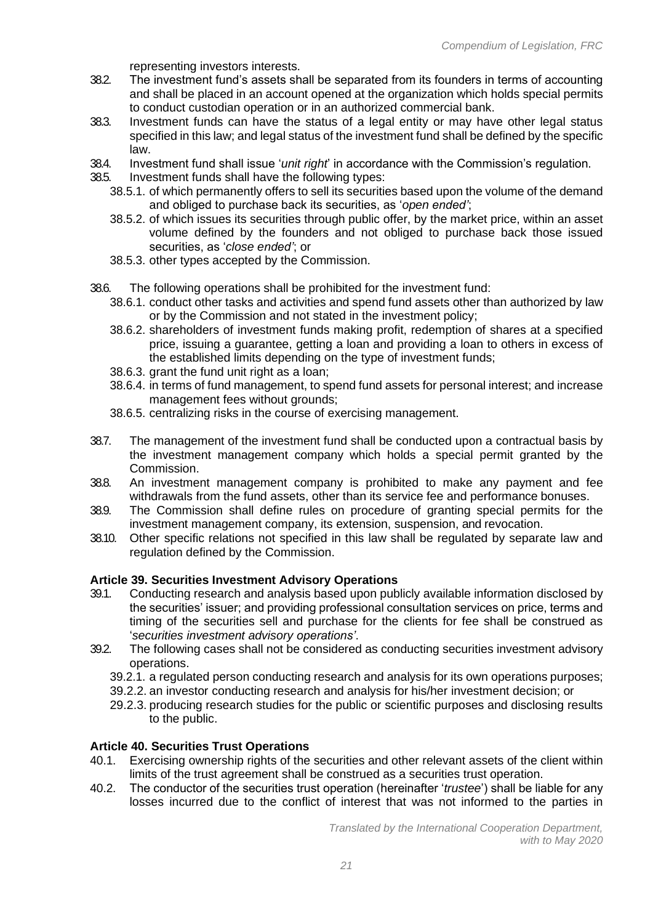representing investors interests.

- 38.2. The investment fund's assets shall be separated from its founders in terms of accounting and shall be placed in an account opened at the organization which holds special permits to conduct custodian operation or in an authorized commercial bank.
- 38.3. Investment funds can have the status of a legal entity or may have other legal status specified in this law; and legal status of the investment fund shall be defined by the specific law.
- 38.4. Investment fund shall issue '*unit right*' in accordance with the Commission's regulation.
- 38.5. Investment funds shall have the following types:
	- 38.5.1. of which permanently offers to sell its securities based upon the volume of the demand and obliged to purchase back its securities, as '*open ended'*;
	- 38.5.2. of which issues its securities through public offer, by the market price, within an asset volume defined by the founders and not obliged to purchase back those issued securities, as '*close ended'*; or
	- 38.5.3. other types accepted by the Commission.
- 38.6. The following operations shall be prohibited for the investment fund:
	- 38.6.1. conduct other tasks and activities and spend fund assets other than authorized by law or by the Commission and not stated in the investment policy;
	- 38.6.2. shareholders of investment funds making profit, redemption of shares at a specified price, issuing a guarantee, getting a loan and providing a loan to others in excess of the established limits depending on the type of investment funds;
	- 38.6.3. grant the fund unit right as a loan;
	- 38.6.4. in terms of fund management, to spend fund assets for personal interest; and increase management fees without grounds;
	- 38.6.5. centralizing risks in the course of exercising management.
- 38.7. The management of the investment fund shall be conducted upon a contractual basis by the investment management company which holds a special permit granted by the Commission.
- 38.8. An investment management company is prohibited to make any payment and fee withdrawals from the fund assets, other than its service fee and performance bonuses.
- 38.9. The Commission shall define rules on procedure of granting special permits for the investment management company, its extension, suspension, and revocation.
- 38.10. Other specific relations not specified in this law shall be regulated by separate law and regulation defined by the Commission.

# **Article 39. Securities Investment Advisory Operations**

- 39.1. Conducting research and analysis based upon publicly available information disclosed by the securities' issuer; and providing professional consultation services on price, terms and timing of the securities sell and purchase for the clients for fee shall be construed as '*securities investment advisory operations'*.
- 39.2. The following cases shall not be considered as conducting securities investment advisory operations.
	- 39.2.1. a regulated person conducting research and analysis for its own operations purposes;
	- 39.2.2. an investor conducting research and analysis for his/her investment decision; or
	- 29.2.3. producing research studies for the public or scientific purposes and disclosing results to the public.

# **Article 40. Securities Trust Operations**

- 40.1. Exercising ownership rights of the securities and other relevant assets of the client within limits of the trust agreement shall be construed as a securities trust operation.
- 40.2. The conductor of the securities trust operation (hereinafter '*trustee*') shall be liable for any losses incurred due to the conflict of interest that was not informed to the parties in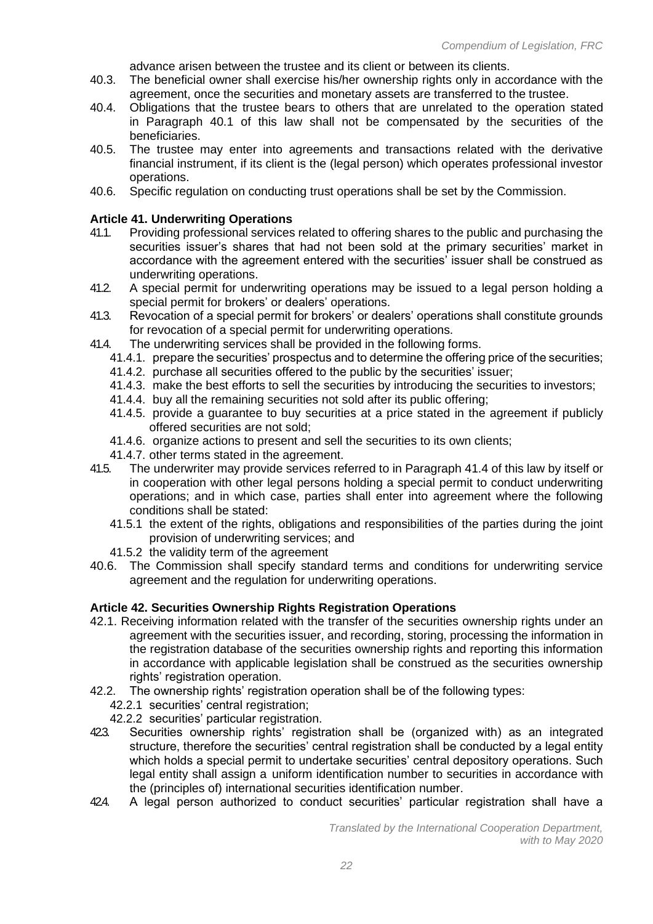advance arisen between the trustee and its client or between its clients.

- 40.3. The beneficial owner shall exercise his/her ownership rights only in accordance with the agreement, once the securities and monetary assets are transferred to the trustee.
- 40.4. Obligations that the trustee bears to others that are unrelated to the operation stated in Paragraph 40.1 of this law shall not be compensated by the securities of the beneficiaries.
- 40.5. The trustee may enter into agreements and transactions related with the derivative financial instrument, if its client is the (legal person) which operates professional investor operations.
- 40.6. Specific regulation on conducting trust operations shall be set by the Commission.

#### **Article 41. Underwriting Operations**

- 41.1. Providing professional services related to offering shares to the public and purchasing the securities issuer's shares that had not been sold at the primary securities' market in accordance with the agreement entered with the securities' issuer shall be construed as underwriting operations.
- 41.2. A special permit for underwriting operations may be issued to a legal person holding a special permit for brokers' or dealers' operations.
- 41.3. Revocation of a special permit for brokers' or dealers' operations shall constitute grounds for revocation of a special permit for underwriting operations.
- 41.4. The underwriting services shall be provided in the following forms.
	- 41.4.1. prepare the securities' prospectus and to determine the offering price of the securities;
	- 41.4.2. purchase all securities offered to the public by the securities' issuer;
	- 41.4.3. make the best efforts to sell the securities by introducing the securities to investors;
	- 41.4.4. buy all the remaining securities not sold after its public offering;
	- 41.4.5. provide a guarantee to buy securities at a price stated in the agreement if publicly offered securities are not sold;
	- 41.4.6. organize actions to present and sell the securities to its own clients;
	- 41.4.7. other terms stated in the agreement.
- 41.5. The underwriter may provide services referred to in Paragraph 41.4 of this law by itself or in cooperation with other legal persons holding a special permit to conduct underwriting operations; and in which case, parties shall enter into agreement where the following conditions shall be stated:
	- 41.5.1 the extent of the rights, obligations and responsibilities of the parties during the joint provision of underwriting services; and
	- 41.5.2 the validity term of the agreement
- 40.6. The Commission shall specify standard terms and conditions for underwriting service agreement and the regulation for underwriting operations.

### **Article 42. Securities Ownership Rights Registration Operations**

- 42.1. Receiving information related with the transfer of the securities ownership rights under an agreement with the securities issuer, and recording, storing, processing the information in the registration database of the securities ownership rights and reporting this information in accordance with applicable legislation shall be construed as the securities ownership rights' registration operation.
- 42.2. The ownership rights' registration operation shall be of the following types:
	- 42.2.1 securities' central registration:
	- 42.2.2 securities' particular registration.
- 42.3. Securities ownership rights' registration shall be (organized with) as an integrated structure, therefore the securities' central registration shall be conducted by a legal entity which holds a special permit to undertake securities' central depository operations. Such legal entity shall assign a uniform identification number to securities in accordance with the (principles of) international securities identification number.
- 424. A legal person authorized to conduct securities' particular registration shall have a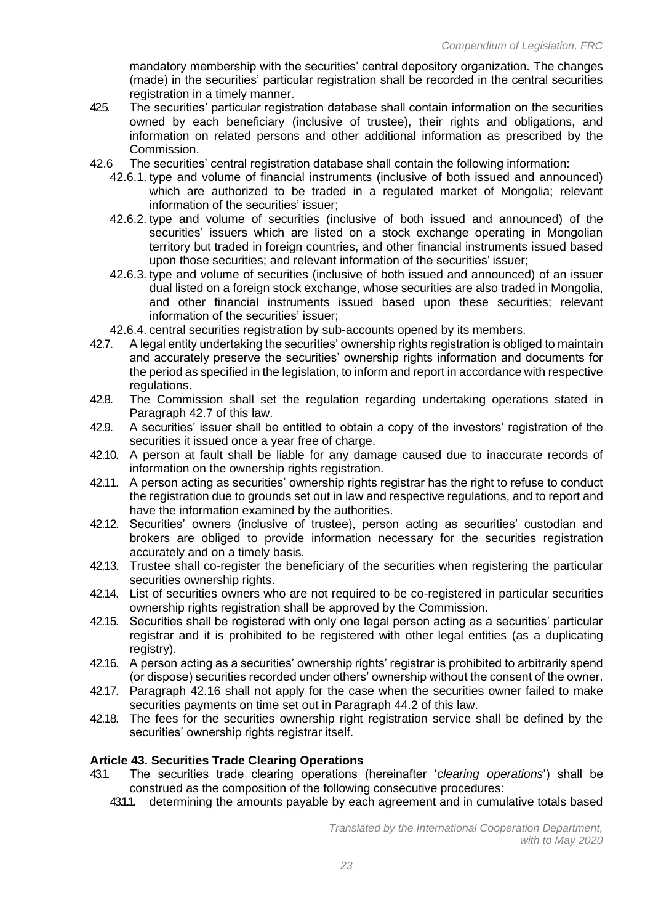mandatory membership with the securities' central depository organization. The changes (made) in the securities' particular registration shall be recorded in the central securities registration in a timely manner.

- 425. The securities' particular registration database shall contain information on the securities owned by each beneficiary (inclusive of trustee), their rights and obligations, and information on related persons and other additional information as prescribed by the Commission.
- 42.6 The securities' central registration database shall contain the following information:
	- 42.6.1. type and volume of financial instruments (inclusive of both issued and announced) which are authorized to be traded in a regulated market of Mongolia; relevant information of the securities' issuer;
	- 42.6.2. type and volume of securities (inclusive of both issued and announced) of the securities' issuers which are listed on a stock exchange operating in Mongolian territory but traded in foreign countries, and other financial instruments issued based upon those securities; and relevant information of the securities' issuer;
	- 42.6.3. type and volume of securities (inclusive of both issued and announced) of an issuer dual listed on a foreign stock exchange, whose securities are also traded in Mongolia, and other financial instruments issued based upon these securities; relevant information of the securities' issuer;
	- 42.6.4. central securities registration by sub-accounts opened by its members.
- 42.7. A legal entity undertaking the securities' ownership rights registration is obliged to maintain and accurately preserve the securities' ownership rights information and documents for the period as specified in the legislation, to inform and report in accordance with respective regulations.
- 42.8. The Commission shall set the regulation regarding undertaking operations stated in Paragraph 42.7 of this law.
- 42.9. A securities' issuer shall be entitled to obtain a copy of the investors' registration of the securities it issued once a year free of charge.
- 42.10. A person at fault shall be liable for any damage caused due to inaccurate records of information on the ownership rights registration.
- 42.11. A person acting as securities' ownership rights registrar has the right to refuse to conduct the registration due to grounds set out in law and respective regulations, and to report and have the information examined by the authorities.
- 42.12. Securities' owners (inclusive of trustee), person acting as securities' custodian and brokers are obliged to provide information necessary for the securities registration accurately and on a timely basis.
- 42.13. Trustee shall co-register the beneficiary of the securities when registering the particular securities ownership rights.
- 42.14. List of securities owners who are not required to be co-registered in particular securities ownership rights registration shall be approved by the Commission.
- 42.15. Securities shall be registered with only one legal person acting as a securities' particular registrar and it is prohibited to be registered with other legal entities (as a duplicating registry).
- 42.16. A person acting as a securities' ownership rights' registrar is prohibited to arbitrarily spend (or dispose) securities recorded under others' ownership without the consent of the owner.
- 42.17. Paragraph 42.16 shall not apply for the case when the securities owner failed to make securities payments on time set out in Paragraph 44.2 of this law.
- 42.18. The fees for the securities ownership right registration service shall be defined by the securities' ownership rights registrar itself.

# **Article 43. Securities Trade Clearing Operations**

- 43.1. The securities trade clearing operations (hereinafter '*clearing operations*') shall be construed as the composition of the following consecutive procedures:
	- 43.1.1. determining the amounts payable by each agreement and in cumulative totals based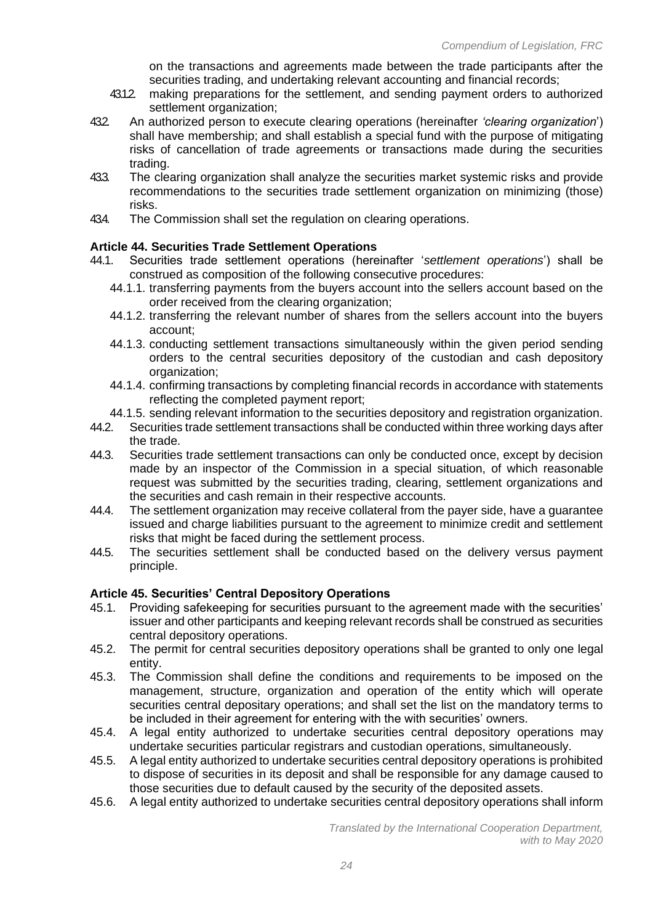on the transactions and agreements made between the trade participants after the securities trading, and undertaking relevant accounting and financial records;

- 43.1.2. making preparations for the settlement, and sending payment orders to authorized settlement organization;
- 43.2. An authorized person to execute clearing operations (hereinafter *'clearing organization*') shall have membership; and shall establish a special fund with the purpose of mitigating risks of cancellation of trade agreements or transactions made during the securities trading.
- 43.3. The clearing organization shall analyze the securities market systemic risks and provide recommendations to the securities trade settlement organization on minimizing (those) risks.
- 434. The Commission shall set the regulation on clearing operations.

### **Article 44. Securities Trade Settlement Operations**

- 44.1. Securities trade settlement operations (hereinafter '*settlement operations*') shall be construed as composition of the following consecutive procedures:
	- 44.1.1. transferring payments from the buyers account into the sellers account based on the order received from the clearing organization;
	- 44.1.2. transferring the relevant number of shares from the sellers account into the buyers account;
	- 44.1.3. conducting settlement transactions simultaneously within the given period sending orders to the central securities depository of the custodian and cash depository organization;
	- 44.1.4. confirming transactions by completing financial records in accordance with statements reflecting the completed payment report;
	- 44.1.5. sending relevant information to the securities depository and registration organization.
- 44.2. Securities trade settlement transactions shall be conducted within three working days after the trade.
- 44.3. Securities trade settlement transactions can only be conducted once, except by decision made by an inspector of the Commission in a special situation, of which reasonable request was submitted by the securities trading, clearing, settlement organizations and the securities and cash remain in their respective accounts.
- 44.4. The settlement organization may receive collateral from the payer side, have a guarantee issued and charge liabilities pursuant to the agreement to minimize credit and settlement risks that might be faced during the settlement process.
- 44.5. The securities settlement shall be conducted based on the delivery versus payment principle.

### **Article 45. Securities' Central Depository Operations**

- 45.1. Providing safekeeping for securities pursuant to the agreement made with the securities' issuer and other participants and keeping relevant records shall be construed as securities central depository operations.
- 45.2. The permit for central securities depository operations shall be granted to only one legal entity.
- 45.3. The Commission shall define the conditions and requirements to be imposed on the management, structure, organization and operation of the entity which will operate securities central depositary operations; and shall set the list on the mandatory terms to be included in their agreement for entering with the with securities' owners.
- 45.4. A legal entity authorized to undertake securities central depository operations may undertake securities particular registrars and custodian operations, simultaneously.
- 45.5. A legal entity authorized to undertake securities central depository operations is prohibited to dispose of securities in its deposit and shall be responsible for any damage caused to those securities due to default caused by the security of the deposited assets.
- 45.6. A legal entity authorized to undertake securities central depository operations shall inform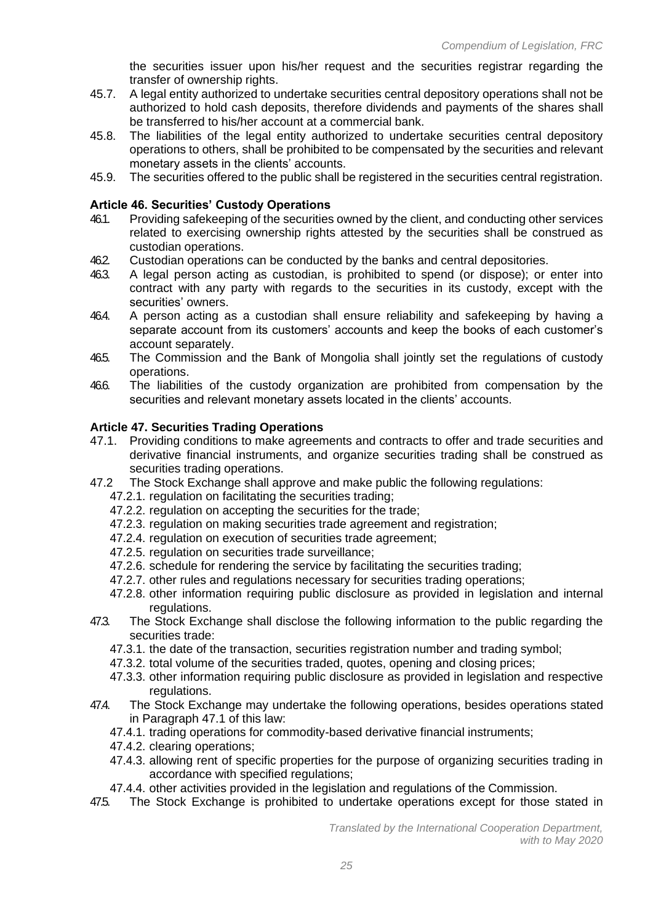the securities issuer upon his/her request and the securities registrar regarding the transfer of ownership rights.

- 45.7. A legal entity authorized to undertake securities central depository operations shall not be authorized to hold cash deposits, therefore dividends and payments of the shares shall be transferred to his/her account at a commercial bank.
- 45.8. The liabilities of the legal entity authorized to undertake securities central depository operations to others, shall be prohibited to be compensated by the securities and relevant monetary assets in the clients' accounts.
- 45.9. The securities offered to the public shall be registered in the securities central registration.

### **Article 46. Securities' Custody Operations**

- 46.1. Providing safekeeping of the securities owned by the client, and conducting other services related to exercising ownership rights attested by the securities shall be construed as custodian operations.
- 46.2. Custodian operations can be conducted by the banks and central depositories.
- 46.3. A legal person acting as custodian, is prohibited to spend (or dispose); or enter into contract with any party with regards to the securities in its custody, except with the securities' owners.
- 46.4. A person acting as a custodian shall ensure reliability and safekeeping by having a separate account from its customers' accounts and keep the books of each customer's account separately.
- 46.5. The Commission and the Bank of Mongolia shall jointly set the regulations of custody operations.
- 46.6. The liabilities of the custody organization are prohibited from compensation by the securities and relevant monetary assets located in the clients' accounts.

### **Article 47. Securities Trading Operations**

- 47.1. Providing conditions to make agreements and contracts to offer and trade securities and derivative financial instruments, and organize securities trading shall be construed as securities trading operations.
- 47.2 The Stock Exchange shall approve and make public the following regulations:
	- 47.2.1. regulation on facilitating the securities trading;
	- 47.2.2. regulation on accepting the securities for the trade;
	- 47.2.3. regulation on making securities trade agreement and registration;
	- 47.2.4. regulation on execution of securities trade agreement;
	- 47.2.5. regulation on securities trade surveillance;
	- 47.2.6. schedule for rendering the service by facilitating the securities trading;
	- 47.2.7. other rules and regulations necessary for securities trading operations;
	- 47.2.8. other information requiring public disclosure as provided in legislation and internal regulations.
- 47.3. The Stock Exchange shall disclose the following information to the public regarding the securities trade:
	- 47.3.1. the date of the transaction, securities registration number and trading symbol;
	- 47.3.2. total volume of the securities traded, quotes, opening and closing prices;
	- 47.3.3. other information requiring public disclosure as provided in legislation and respective regulations.
- 47.4. The Stock Exchange may undertake the following operations, besides operations stated in Paragraph 47.1 of this law:
	- 47.4.1. trading operations for commodity-based derivative financial instruments;
	- 47.4.2. clearing operations;
	- 47.4.3. allowing rent of specific properties for the purpose of organizing securities trading in accordance with specified regulations;
	- 47.4.4. other activities provided in the legislation and regulations of the Commission.
- 47.5. The Stock Exchange is prohibited to undertake operations except for those stated in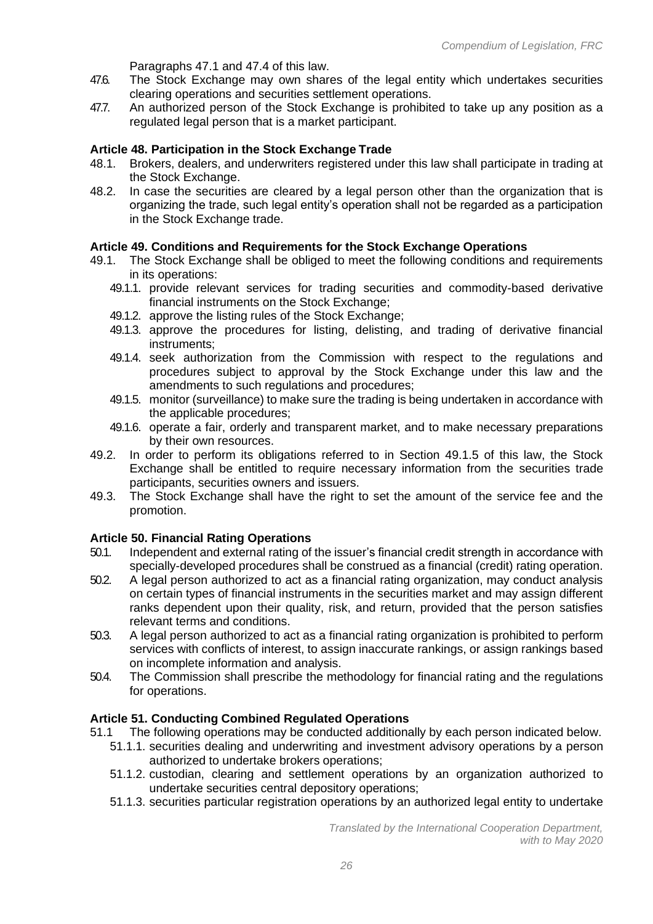Paragraphs 47.1 and 47.4 of this law.

- 47.6. The Stock Exchange may own shares of the legal entity which undertakes securities clearing operations and securities settlement operations.
- 47.7. An authorized person of the Stock Exchange is prohibited to take up any position as a regulated legal person that is a market participant.

#### **Article 48. Participation in the Stock Exchange Trade**

- 48.1. Brokers, dealers, and underwriters registered under this law shall participate in trading at the Stock Exchange.
- 48.2. In case the securities are cleared by a legal person other than the organization that is organizing the trade, such legal entity's operation shall not be regarded as a participation in the Stock Exchange trade.

#### **Article 49. Conditions and Requirements for the Stock Exchange Operations**

- 49.1. The Stock Exchange shall be obliged to meet the following conditions and requirements in its operations:
	- 49.1.1. provide relevant services for trading securities and commodity-based derivative financial instruments on the Stock Exchange;
	- 49.1.2. approve the listing rules of the Stock Exchange;
	- 49.1.3. approve the procedures for listing, delisting, and trading of derivative financial instruments;
	- 49.1.4. seek authorization from the Commission with respect to the regulations and procedures subject to approval by the Stock Exchange under this law and the amendments to such regulations and procedures;
	- 49.1.5. monitor (surveillance) to make sure the trading is being undertaken in accordance with the applicable procedures;
	- 49.1.6. operate a fair, orderly and transparent market, and to make necessary preparations by their own resources.
- 49.2. In order to perform its obligations referred to in Section 49.1.5 of this law, the Stock Exchange shall be entitled to require necessary information from the securities trade participants, securities owners and issuers.
- 49.3. The Stock Exchange shall have the right to set the amount of the service fee and the promotion.

#### **Article 50. Financial Rating Operations**

- 50.1. Independent and external rating of the issuer's financial credit strength in accordance with specially-developed procedures shall be construed as a financial (credit) rating operation.
- 50.2. A legal person authorized to act as a financial rating organization, may conduct analysis on certain types of financial instruments in the securities market and may assign different ranks dependent upon their quality, risk, and return, provided that the person satisfies relevant terms and conditions.
- 50.3. A legal person authorized to act as a financial rating organization is prohibited to perform services with conflicts of interest, to assign inaccurate rankings, or assign rankings based on incomplete information and analysis.
- 50.4. The Commission shall prescribe the methodology for financial rating and the regulations for operations.

#### **Article 51. Conducting Combined Regulated Operations**

- 51.1 The following operations may be conducted additionally by each person indicated below.
	- 51.1.1. securities dealing and underwriting and investment advisory operations by a person authorized to undertake brokers operations;
	- 51.1.2. custodian, clearing and settlement operations by an organization authorized to undertake securities central depository operations;
	- 51.1.3. securities particular registration operations by an authorized legal entity to undertake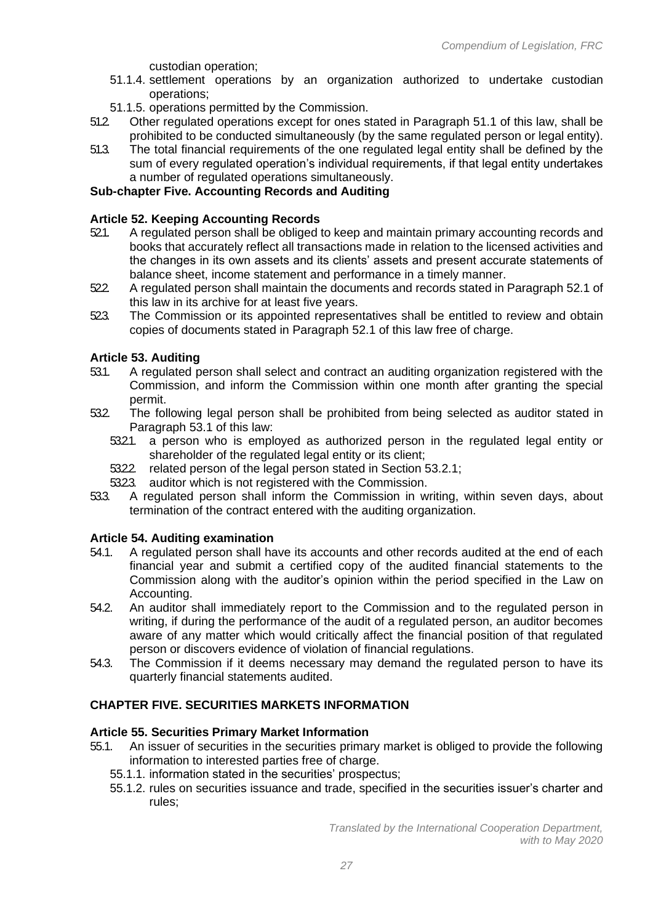custodian operation;

- 51.1.4. settlement operations by an organization authorized to undertake custodian operations;
- 51.1.5. operations permitted by the Commission.<br>512 Other regulated operations except for ones s
- 51.2. Other regulated operations except for ones stated in Paragraph 51.1 of this law, shall be prohibited to be conducted simultaneously (by the same regulated person or legal entity).
- 51.3. The total financial requirements of the one regulated legal entity shall be defined by the sum of every regulated operation's individual requirements, if that legal entity undertakes a number of regulated operations simultaneously.

### **Sub-chapter Five. Accounting Records and Auditing**

### **Article 52. Keeping Accounting Records**

- 52.1. A regulated person shall be obliged to keep and maintain primary accounting records and books that accurately reflect all transactions made in relation to the licensed activities and the changes in its own assets and its clients' assets and present accurate statements of balance sheet, income statement and performance in a timely manner.
- 52.2. A regulated person shall maintain the documents and records stated in Paragraph 52.1 of this law in its archive for at least five years.
- 523. The Commission or its appointed representatives shall be entitled to review and obtain copies of documents stated in Paragraph 52.1 of this law free of charge.

### **Article 53. Auditing**

- 53.1. A regulated person shall select and contract an auditing organization registered with the Commission, and inform the Commission within one month after granting the special permit.
- 53.2. The following legal person shall be prohibited from being selected as auditor stated in Paragraph 53.1 of this law:
	- 5321. a person who is employed as authorized person in the regulated legal entity or shareholder of the regulated legal entity or its client;
	- 53.2.2. related person of the legal person stated in Section 53.2.1;
	- 5323 auditor which is not registered with the Commission.
- 53.3. A regulated person shall inform the Commission in writing, within seven days, about termination of the contract entered with the auditing organization.

### **Article 54. Auditing examination**

- 54.1. A regulated person shall have its accounts and other records audited at the end of each financial year and submit a certified copy of the audited financial statements to the Commission along with the auditor's opinion within the period specified in the Law on Accounting.
- 54.2. An auditor shall immediately report to the Commission and to the regulated person in writing, if during the performance of the audit of a regulated person, an auditor becomes aware of any matter which would critically affect the financial position of that regulated person or discovers evidence of violation of financial regulations.
- 54.3. The Commission if it deems necessary may demand the regulated person to have its quarterly financial statements audited.

# **CHAPTER FIVE. SECURITIES MARKETS INFORMATION**

# **Article 55. Securities Primary Market Information**

- 55.1. An issuer of securities in the securities primary market is obliged to provide the following information to interested parties free of charge.
	- 55.1.1. information stated in the securities' prospectus;
	- 55.1.2. rules on securities issuance and trade, specified in the securities issuer's charter and rules;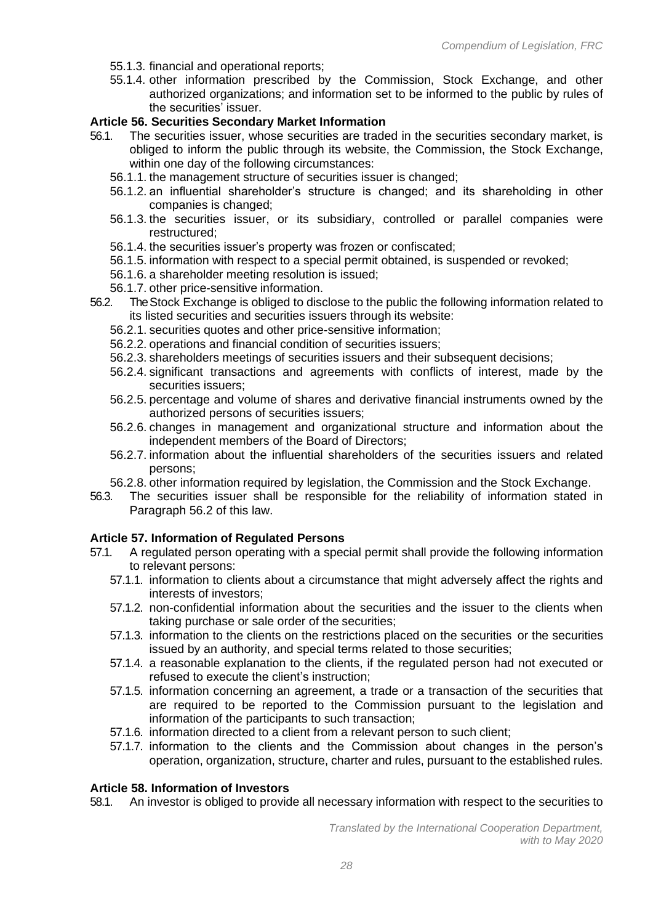- 55.1.3. financial and operational reports;
- 55.1.4. other information prescribed by the Commission, Stock Exchange, and other authorized organizations; and information set to be informed to the public by rules of the securities' issuer.

### **Article 56. Securities Secondary Market Information**

- 56.1. The securities issuer, whose securities are traded in the securities secondary market, is obliged to inform the public through its website, the Commission, the Stock Exchange, within one day of the following circumstances:
	- 56.1.1. the management structure of securities issuer is changed;
	- 56.1.2. an influential shareholder's structure is changed; and its shareholding in other companies is changed;
	- 56.1.3. the securities issuer, or its subsidiary, controlled or parallel companies were restructured;
	- 56.1.4. the securities issuer's property was frozen or confiscated;
	- 56.1.5. information with respect to a special permit obtained, is suspended or revoked;
	- 56.1.6. a shareholder meeting resolution is issued;
	- 56.1.7. other price-sensitive information.
- 56.2. The Stock Exchange is obliged to disclose to the public the following information related to its listed securities and securities issuers through its website:
	- 56.2.1. securities quotes and other price-sensitive information;
	- 56.2.2. operations and financial condition of securities issuers;
	- 56.2.3. shareholders meetings of securities issuers and their subsequent decisions;
	- 56.2.4. significant transactions and agreements with conflicts of interest, made by the securities issuers;
	- 56.2.5. percentage and volume of shares and derivative financial instruments owned by the authorized persons of securities issuers;
	- 56.2.6. changes in management and organizational structure and information about the independent members of the Board of Directors;
	- 56.2.7. information about the influential shareholders of the securities issuers and related persons;
	- 56.2.8. other information required by legislation, the Commission and the Stock Exchange.
- 56.3. The securities issuer shall be responsible for the reliability of information stated in Paragraph 56.2 of this law.

### **Article 57. Information of Regulated Persons**

- 57.1. A regulated person operating with a special permit shall provide the following information to relevant persons:
	- 57.1.1. information to clients about a circumstance that might adversely affect the rights and interests of investors;
	- 57.1.2. non-confidential information about the securities and the issuer to the clients when taking purchase or sale order of the securities;
	- 57.1.3. information to the clients on the restrictions placed on the securities or the securities issued by an authority, and special terms related to those securities;
	- 57.1.4. a reasonable explanation to the clients, if the regulated person had not executed or refused to execute the client's instruction;
	- 57.1.5. information concerning an agreement, a trade or a transaction of the securities that are required to be reported to the Commission pursuant to the legislation and information of the participants to such transaction;
	- 57.1.6. information directed to a client from a relevant person to such client;
	- 57.1.7. information to the clients and the Commission about changes in the person's operation, organization, structure, charter and rules, pursuant to the established rules.

#### **Article 58. Information of Investors**

58.1. An investor is obliged to provide all necessary information with respect to the securities to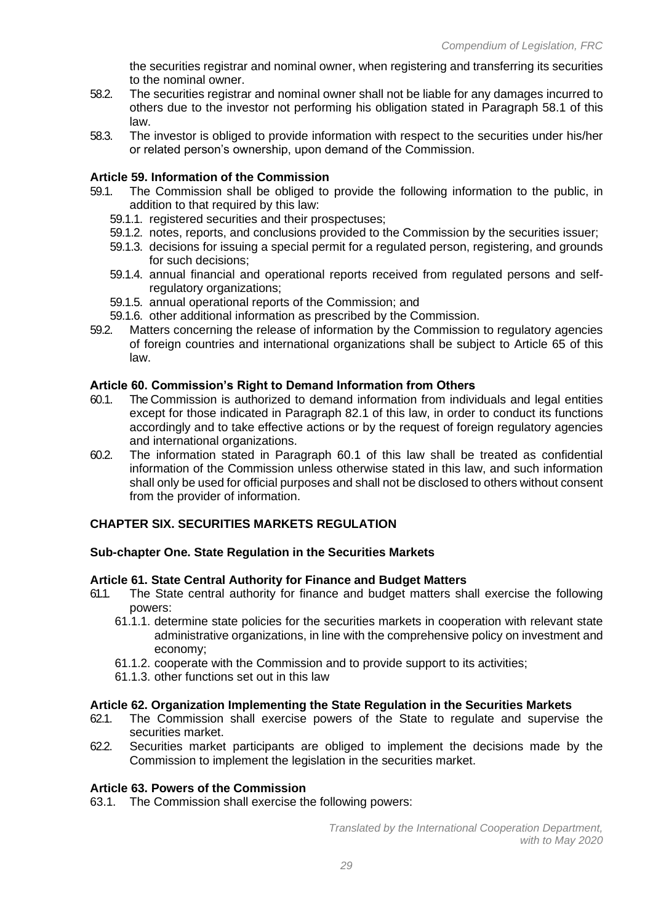the securities registrar and nominal owner, when registering and transferring its securities to the nominal owner.

- 58.2. The securities registrar and nominal owner shall not be liable for any damages incurred to others due to the investor not performing his obligation stated in Paragraph 58.1 of this law.
- 58.3. The investor is obliged to provide information with respect to the securities under his/her or related person's ownership, upon demand of the Commission.

#### **Article 59. Information of the Commission**

- 59.1. The Commission shall be obliged to provide the following information to the public, in addition to that required by this law:
	- 59.1.1. registered securities and their prospectuses;
	- 59.1.2. notes, reports, and conclusions provided to the Commission by the securities issuer;
	- 59.1.3. decisions for issuing a special permit for a regulated person, registering, and grounds for such decisions;
	- 59.1.4. annual financial and operational reports received from regulated persons and selfregulatory organizations;
	- 59.1.5. annual operational reports of the Commission; and
	- 59.1.6. other additional information as prescribed by the Commission.
- 59.2. Matters concerning the release of information by the Commission to regulatory agencies of foreign countries and international organizations shall be subject to Article 65 of this law.

#### **Article 60. Commission's Right to Demand Information from Others**

- 60.1. The Commission is authorized to demand information from individuals and legal entities except for those indicated in Paragraph 82.1 of this law, in order to conduct its functions accordingly and to take effective actions or by the request of foreign regulatory agencies and international organizations.
- 60.2. The information stated in Paragraph 60.1 of this law shall be treated as confidential information of the Commission unless otherwise stated in this law, and such information shall only be used for official purposes and shall not be disclosed to others without consent from the provider of information.

### **CHAPTER SIX. SECURITIES MARKETS REGULATION**

#### **Sub-chapter One. State Regulation in the Securities Markets**

#### **Article 61. State Central Authority for Finance and Budget Matters**

- 61.1. The State central authority for finance and budget matters shall exercise the following powers:
	- 61.1.1. determine state policies for the securities markets in cooperation with relevant state administrative organizations, in line with the comprehensive policy on investment and economy;
	- 61.1.2. cooperate with the Commission and to provide support to its activities;
	- 61.1.3. other functions set out in this law

#### **Article 62. Organization Implementing the State Regulation in the Securities Markets**

- 62.1. The Commission shall exercise powers of the State to regulate and supervise the securities market.
- 62.2. Securities market participants are obliged to implement the decisions made by the Commission to implement the legislation in the securities market.

#### **Article 63. Powers of the Commission**

63.1. The Commission shall exercise the following powers: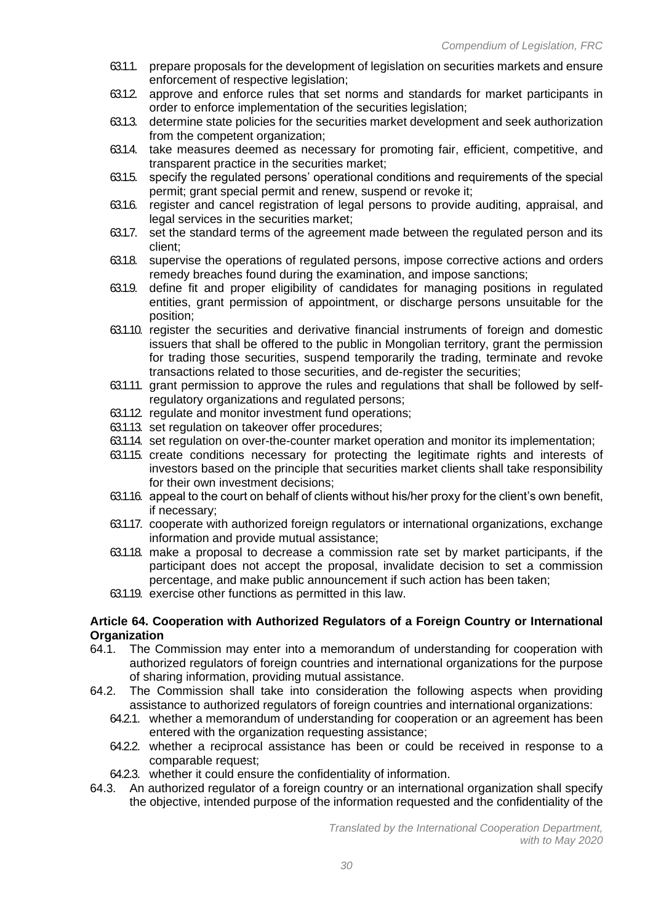- 63.1.1. prepare proposals for the development of legislation on securities markets and ensure enforcement of respective legislation;
- 63.1.2. approve and enforce rules that set norms and standards for market participants in order to enforce implementation of the securities legislation;
- 63.1.3. determine state policies for the securities market development and seek authorization from the competent organization;
- 63.1.4. take measures deemed as necessary for promoting fair, efficient, competitive, and transparent practice in the securities market;
- 63.1.5. specify the regulated persons' operational conditions and requirements of the special permit; grant special permit and renew, suspend or revoke it;
- 63.1.6. register and cancel registration of legal persons to provide auditing, appraisal, and legal services in the securities market;
- 63.1.7. set the standard terms of the agreement made between the regulated person and its client;
- 63.1.8. supervise the operations of regulated persons, impose corrective actions and orders remedy breaches found during the examination, and impose sanctions;
- 63.1.9. define fit and proper eligibility of candidates for managing positions in regulated entities, grant permission of appointment, or discharge persons unsuitable for the position;
- 63.1.10. register the securities and derivative financial instruments of foreign and domestic issuers that shall be offered to the public in Mongolian territory, grant the permission for trading those securities, suspend temporarily the trading, terminate and revoke transactions related to those securities, and de-register the securities;
- 63.1.11. grant permission to approve the rules and regulations that shall be followed by selfregulatory organizations and regulated persons;
- 63.1.12. regulate and monitor investment fund operations;
- 63.1.13. set regulation on takeover offer procedures;
- 63.1.14. set regulation on over-the-counter market operation and monitor its implementation;
- 63.1.15. create conditions necessary for protecting the legitimate rights and interests of investors based on the principle that securities market clients shall take responsibility for their own investment decisions;
- 63.1.16. appeal to the court on behalf of clients without his/her proxy for the client's own benefit, if necessary;
- 63.1.17. cooperate with authorized foreign regulators or international organizations, exchange information and provide mutual assistance;
- 63.1.18. make a proposal to decrease a commission rate set by market participants, if the participant does not accept the proposal, invalidate decision to set a commission percentage, and make public announcement if such action has been taken;
- 63.1.19. exercise other functions as permitted in this law.

### **Article 64. Cooperation with Authorized Regulators of a Foreign Country or International Organization**

- 64.1. The Commission may enter into a memorandum of understanding for cooperation with authorized regulators of foreign countries and international organizations for the purpose of sharing information, providing mutual assistance.
- 64.2. The Commission shall take into consideration the following aspects when providing assistance to authorized regulators of foreign countries and international organizations:
	- 64.2.1. whether a memorandum of understanding for cooperation or an agreement has been entered with the organization requesting assistance;
	- 64.2.2. whether a reciprocal assistance has been or could be received in response to a comparable request;
	- 64.2.3. whether it could ensure the confidentiality of information.
- 64.3. An authorized regulator of a foreign country or an international organization shall specify the objective, intended purpose of the information requested and the confidentiality of the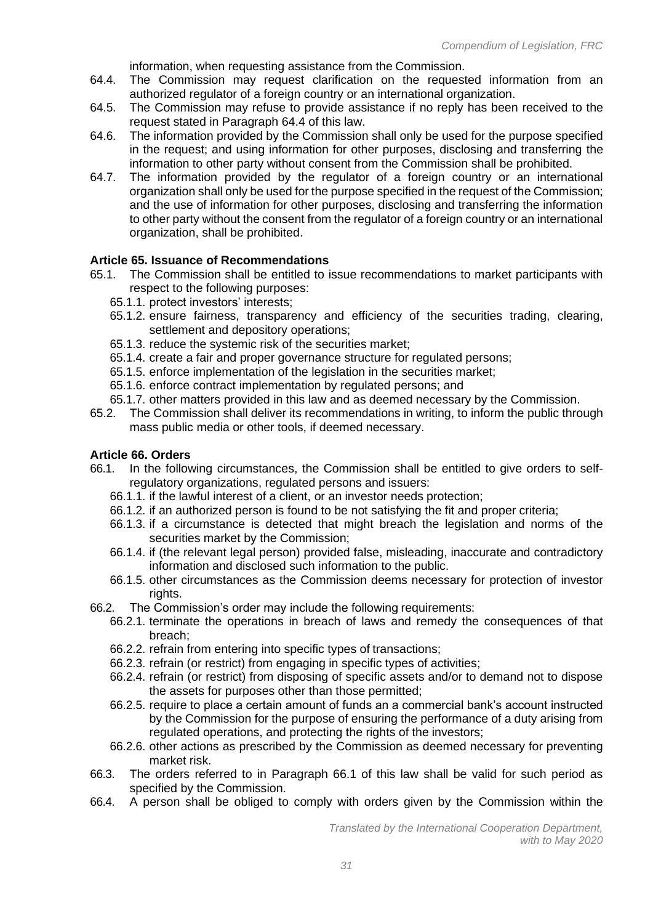information, when requesting assistance from the Commission.

- 64.4. The Commission may request clarification on the requested information from an authorized regulator of a foreign country or an international organization.
- 64.5. The Commission may refuse to provide assistance if no reply has been received to the request stated in Paragraph 64.4 of this law.
- 64.6. The information provided by the Commission shall only be used for the purpose specified in the request; and using information for other purposes, disclosing and transferring the information to other party without consent from the Commission shall be prohibited.
- 64.7. The information provided by the regulator of a foreign country or an international organization shall only be used for the purpose specified in the request of the Commission; and the use of information for other purposes, disclosing and transferring the information to other party without the consent from the regulator of a foreign country or an international organization, shall be prohibited.

#### **Article 65. Issuance of Recommendations**

- 65.1. The Commission shall be entitled to issue recommendations to market participants with respect to the following purposes:
	- 65.1.1. protect investors' interests;
	- 65.1.2. ensure fairness, transparency and efficiency of the securities trading, clearing, settlement and depository operations;
	- 65.1.3. reduce the systemic risk of the securities market;
	- 65.1.4. create a fair and proper governance structure for regulated persons;
	- 65.1.5. enforce implementation of the legislation in the securities market;
	- 65.1.6. enforce contract implementation by regulated persons; and
- 65.1.7. other matters provided in this law and as deemed necessary by the Commission.<br>65.2. The Commission shall deliver its recommendations in writing, to inform the public thro
- The Commission shall deliver its recommendations in writing, to inform the public through mass public media or other tools, if deemed necessary.

#### **Article 66. Orders**

- 66.1. In the following circumstances, the Commission shall be entitled to give orders to selfregulatory organizations, regulated persons and issuers:
	- 66.1.1. if the lawful interest of a client, or an investor needs protection;
	- 66.1.2. if an authorized person is found to be not satisfying the fit and proper criteria;
	- 66.1.3. if a circumstance is detected that might breach the legislation and norms of the securities market by the Commission;
	- 66.1.4. if (the relevant legal person) provided false, misleading, inaccurate and contradictory information and disclosed such information to the public.
	- 66.1.5. other circumstances as the Commission deems necessary for protection of investor rights.
- 66.2. The Commission's order may include the following requirements:
	- 66.2.1. terminate the operations in breach of laws and remedy the consequences of that breach;
	- 66.2.2. refrain from entering into specific types of transactions;
	- 66.2.3. refrain (or restrict) from engaging in specific types of activities;
	- 66.2.4. refrain (or restrict) from disposing of specific assets and/or to demand not to dispose the assets for purposes other than those permitted;
	- 66.2.5. require to place a certain amount of funds an a commercial bank's account instructed by the Commission for the purpose of ensuring the performance of a duty arising from regulated operations, and protecting the rights of the investors;
	- 66.2.6. other actions as prescribed by the Commission as deemed necessary for preventing market risk.
- 66.3. The orders referred to in Paragraph 66.1 of this law shall be valid for such period as specified by the Commission.
- 66.4. A person shall be obliged to comply with orders given by the Commission within the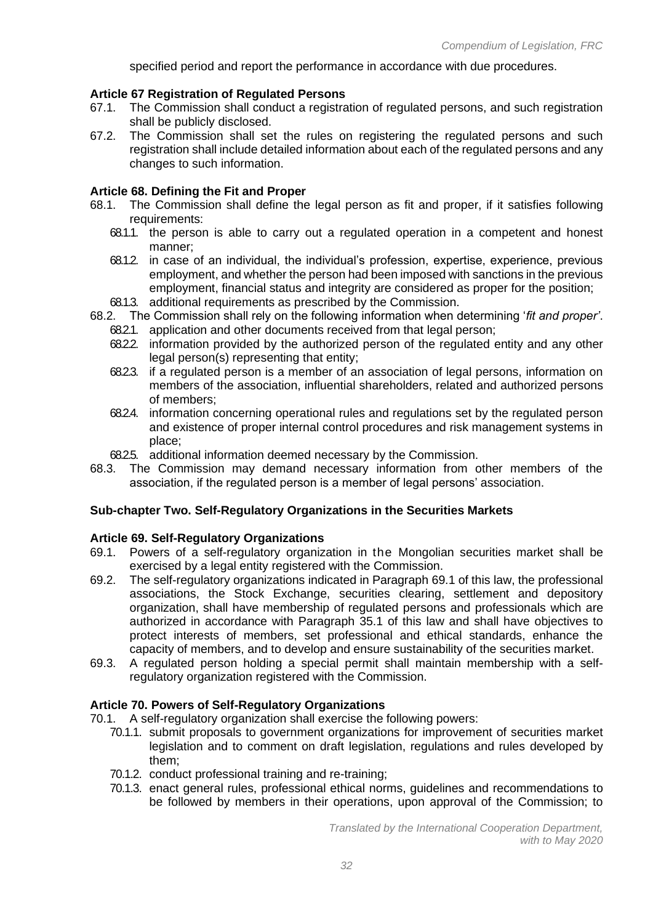specified period and report the performance in accordance with due procedures.

#### **Article 67 Registration of Regulated Persons**

- 67.1. The Commission shall conduct a registration of regulated persons, and such registration shall be publicly disclosed.
- 67.2. The Commission shall set the rules on registering the regulated persons and such registration shall include detailed information about each of the regulated persons and any changes to such information.

### **Article 68. Defining the Fit and Proper**

- 68.1. The Commission shall define the legal person as fit and proper, if it satisfies following requirements:
	- 68.1.1. the person is able to carry out a regulated operation in a competent and honest manner;
	- 68.1.2. in case of an individual, the individual's profession, expertise, experience, previous employment, and whether the person had been imposed with sanctions in the previous employment, financial status and integrity are considered as proper for the position;
	- 68.1.3. additional requirements as prescribed by the Commission.
- 68.2. The Commission shall rely on the following information when determining '*fit and proper'*.
	- 68.2.1. application and other documents received from that legal person;
	- 68.2.2. information provided by the authorized person of the regulated entity and any other legal person(s) representing that entity;
	- 68.2.3. if a regulated person is a member of an association of legal persons, information on members of the association, influential shareholders, related and authorized persons of members;
	- 68.2.4. information concerning operational rules and regulations set by the regulated person and existence of proper internal control procedures and risk management systems in place;
	- 68.2.5. additional information deemed necessary by the Commission.
- 68.3. The Commission may demand necessary information from other members of the association, if the regulated person is a member of legal persons' association.

### **Sub-chapter Two. Self-Regulatory Organizations in the Securities Markets**

### **Article 69. Self-Regulatory Organizations**

- 69.1. Powers of a self-regulatory organization in the Mongolian securities market shall be exercised by a legal entity registered with the Commission.
- 69.2. The self-regulatory organizations indicated in Paragraph 69.1 of this law, the professional associations, the Stock Exchange, securities clearing, settlement and depository organization, shall have membership of regulated persons and professionals which are authorized in accordance with Paragraph 35.1 of this law and shall have objectives to protect interests of members, set professional and ethical standards, enhance the capacity of members, and to develop and ensure sustainability of the securities market.
- 69.3. A regulated person holding a special permit shall maintain membership with a selfregulatory organization registered with the Commission.

### **Article 70. Powers of Self-Regulatory Organizations**

- 70.1. A self-regulatory organization shall exercise the following powers:
	- 70.1.1. submit proposals to government organizations for improvement of securities market legislation and to comment on draft legislation, regulations and rules developed by them;
	- 70.1.2. conduct professional training and re-training;
	- 70.1.3. enact general rules, professional ethical norms, guidelines and recommendations to be followed by members in their operations, upon approval of the Commission; to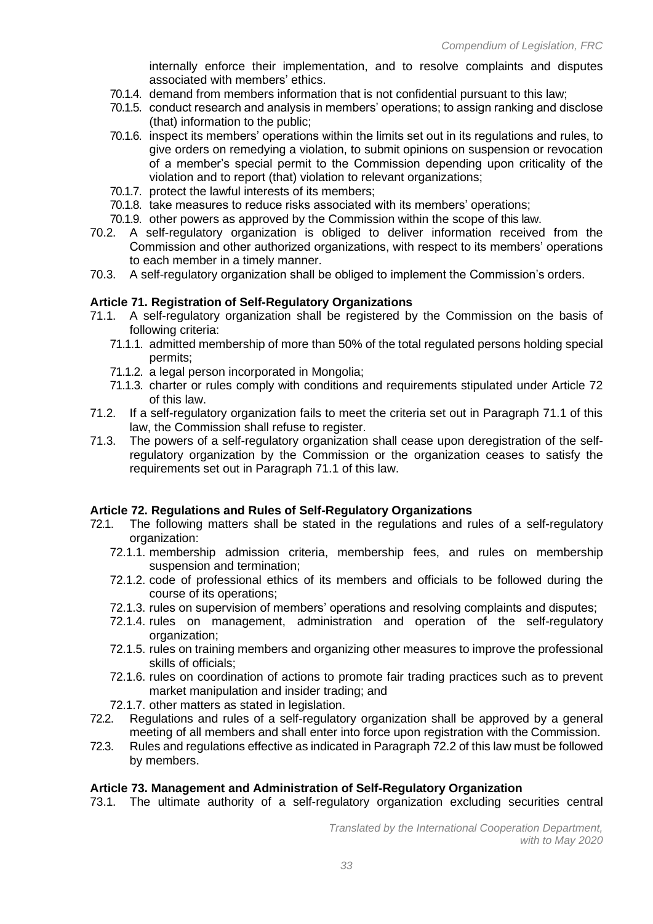internally enforce their implementation, and to resolve complaints and disputes associated with members' ethics.

- 70.1.4. demand from members information that is not confidential pursuant to this law;
- 70.1.5. conduct research and analysis in members' operations; to assign ranking and disclose (that) information to the public;
- 70.1.6. inspect its members' operations within the limits set out in its regulations and rules, to give orders on remedying a violation, to submit opinions on suspension or revocation of a member's special permit to the Commission depending upon criticality of the violation and to report (that) violation to relevant organizations;
- 70.1.7. protect the lawful interests of its members;
- 70.1.8. take measures to reduce risks associated with its members' operations;
- 70.1.9. other powers as approved by the Commission within the scope of this law.
- 70.2. A self-regulatory organization is obliged to deliver information received from the Commission and other authorized organizations, with respect to its members' operations to each member in a timely manner.
- 70.3. A self-regulatory organization shall be obliged to implement the Commission's orders.

### **Article 71. Registration of Self-Regulatory Organizations**

- 71.1. A self-regulatory organization shall be registered by the Commission on the basis of following criteria:
	- 71.1.1. admitted membership of more than 50% of the total regulated persons holding special permits;
	- 71.1.2. a legal person incorporated in Mongolia;
	- 71.1.3. charter or rules comply with conditions and requirements stipulated under Article 72 of this law.
- 71.2. If a self-regulatory organization fails to meet the criteria set out in Paragraph 71.1 of this law, the Commission shall refuse to register.
- 71.3. The powers of a self-regulatory organization shall cease upon deregistration of the selfregulatory organization by the Commission or the organization ceases to satisfy the requirements set out in Paragraph 71.1 of this law.

### **Article 72. Regulations and Rules of Self-Regulatory Organizations**

- 72.1. The following matters shall be stated in the regulations and rules of a self-regulatory organization:
	- 72.1.1. membership admission criteria, membership fees, and rules on membership suspension and termination;
	- 72.1.2. code of professional ethics of its members and officials to be followed during the course of its operations;
	- 72.1.3. rules on supervision of members' operations and resolving complaints and disputes;
	- 72.1.4. rules on management, administration and operation of the self-regulatory organization;
	- 72.1.5. rules on training members and organizing other measures to improve the professional skills of officials;
	- 72.1.6. rules on coordination of actions to promote fair trading practices such as to prevent market manipulation and insider trading; and
	- 72.1.7. other matters as stated in legislation.
- 72.2. Regulations and rules of a self-regulatory organization shall be approved by a general meeting of all members and shall enter into force upon registration with the Commission.
- 72.3. Rules and regulations effective as indicated in Paragraph 72.2 of this law must be followed by members.

### **Article 73. Management and Administration of Self-Regulatory Organization**

73.1. The ultimate authority of a self-regulatory organization excluding securities central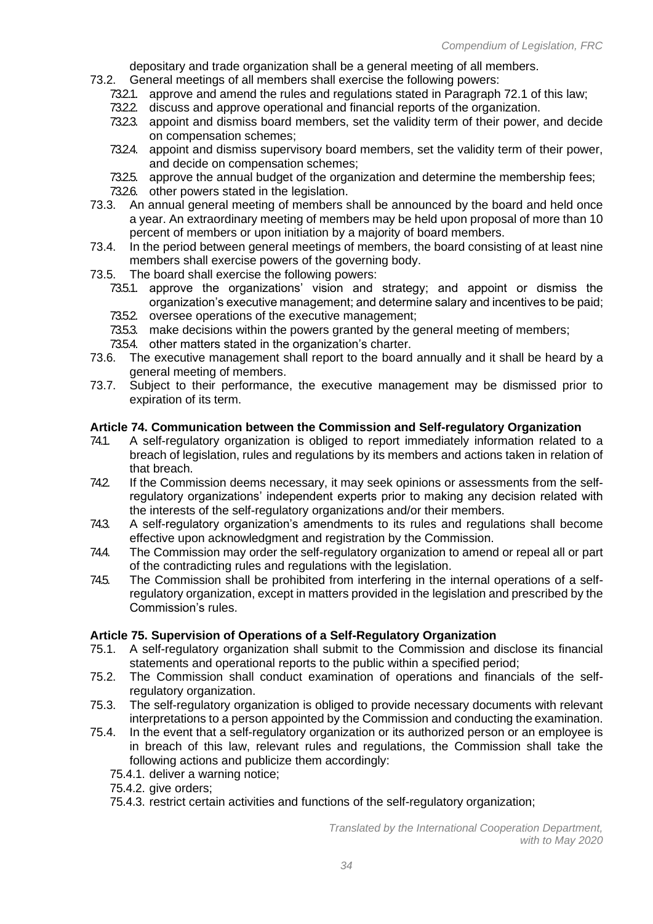depositary and trade organization shall be a general meeting of all members.

- 73.2. General meetings of all members shall exercise the following powers:
	- 73.2.1. approve and amend the rules and regulations stated in Paragraph 72.1 of this law;
	- 73.2.2. discuss and approve operational and financial reports of the organization.
	- 73.2.3. appoint and dismiss board members, set the validity term of their power, and decide on compensation schemes;
	- 73.2.4. appoint and dismiss supervisory board members, set the validity term of their power, and decide on compensation schemes;
	- 73.2.5. approve the annual budget of the organization and determine the membership fees;
	- 73.2.6. other powers stated in the legislation.
- 73.3. An annual general meeting of members shall be announced by the board and held once a year. An extraordinary meeting of members may be held upon proposal of more than 10 percent of members or upon initiation by a majority of board members.
- 73.4. In the period between general meetings of members, the board consisting of at least nine members shall exercise powers of the governing body.
- 73.5. The board shall exercise the following powers:
	- 73.5.1. approve the organizations' vision and strategy; and appoint or dismiss the organization's executive management; and determine salary and incentives to be paid;
	- 73.5.2. oversee operations of the executive management;
	- 73.5.3. make decisions within the powers granted by the general meeting of members;
	- 73.5.4. other matters stated in the organization's charter.
- 73.6. The executive management shall report to the board annually and it shall be heard by a general meeting of members.
- 73.7. Subject to their performance, the executive management may be dismissed prior to expiration of its term.

### **Article 74. Communication between the Commission and Self-regulatory Organization**

- 74.1. A self-regulatory organization is obliged to report immediately information related to a breach of legislation, rules and regulations by its members and actions taken in relation of that breach.
- 74.2 If the Commission deems necessary, it may seek opinions or assessments from the selfregulatory organizations' independent experts prior to making any decision related with the interests of the self-regulatory organizations and/or their members.
- 74.3. A self-regulatory organization's amendments to its rules and regulations shall become effective upon acknowledgment and registration by the Commission.
- 74.4. The Commission may order the self-regulatory organization to amend or repeal all or part of the contradicting rules and regulations with the legislation.
- 74.5. The Commission shall be prohibited from interfering in the internal operations of a selfregulatory organization, except in matters provided in the legislation and prescribed by the Commission's rules.

#### **Article 75. Supervision of Operations of a Self-Regulatory Organization**

- 75.1. A self-regulatory organization shall submit to the Commission and disclose its financial statements and operational reports to the public within a specified period;
- 75.2. The Commission shall conduct examination of operations and financials of the selfregulatory organization.
- 75.3. The self-regulatory organization is obliged to provide necessary documents with relevant interpretations to a person appointed by the Commission and conducting the examination.
- 75.4. In the event that a self-regulatory organization or its authorized person or an employee is in breach of this law, relevant rules and regulations, the Commission shall take the following actions and publicize them accordingly:
	- 75.4.1. deliver a warning notice;
	- 75.4.2. give orders;
	- 75.4.3. restrict certain activities and functions of the self-regulatory organization;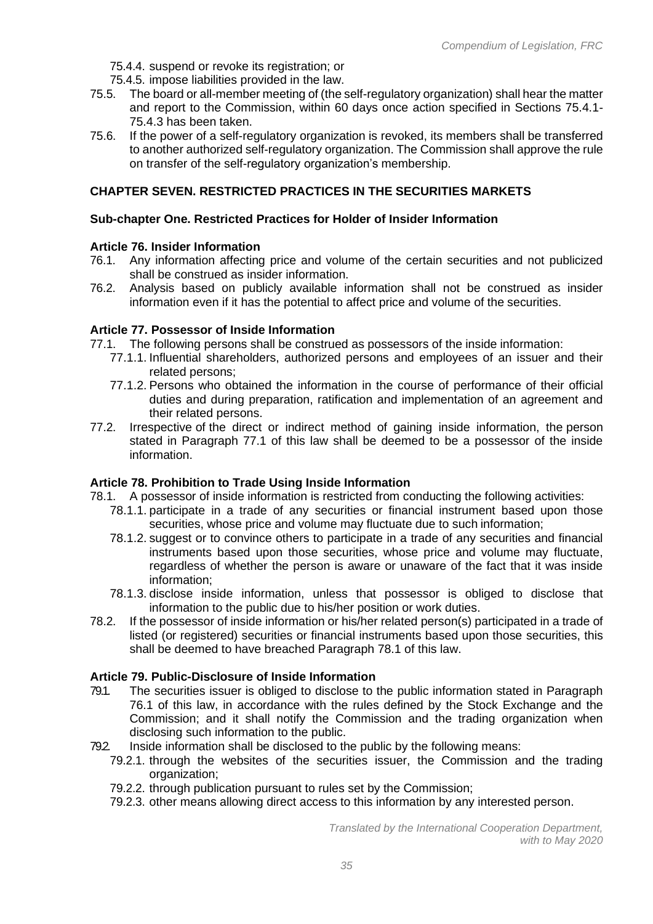- 75.4.4. suspend or revoke its registration; or
- 75.4.5. impose liabilities provided in the law.
- 75.5. The board or all-member meeting of (the self-regulatory organization) shall hear the matter and report to the Commission, within 60 days once action specified in Sections 75.4.1- 75.4.3 has been taken.
- 75.6. If the power of a self-regulatory organization is revoked, its members shall be transferred to another authorized self-regulatory organization. The Commission shall approve the rule on transfer of the self-regulatory organization's membership.

### **CHAPTER SEVEN. RESTRICTED PRACTICES IN THE SECURITIES MARKETS**

### **Sub-chapter One. Restricted Practices for Holder of Insider Information**

### **Article 76. Insider Information**

- 76.1. Any information affecting price and volume of the certain securities and not publicized shall be construed as insider information.
- 76.2. Analysis based on publicly available information shall not be construed as insider information even if it has the potential to affect price and volume of the securities.

### **Article 77. Possessor of Inside Information**

77.1. The following persons shall be construed as possessors of the inside information:

- 77.1.1. Influential shareholders, authorized persons and employees of an issuer and their related persons;
- 77.1.2. Persons who obtained the information in the course of performance of their official duties and during preparation, ratification and implementation of an agreement and their related persons.
- 77.2. Irrespective of the direct or indirect method of gaining inside information, the person stated in Paragraph 77.1 of this law shall be deemed to be a possessor of the inside information.

### **Article 78. Prohibition to Trade Using Inside Information**

78.1. A possessor of inside information is restricted from conducting the following activities:

- 78.1.1. participate in a trade of any securities or financial instrument based upon those securities, whose price and volume may fluctuate due to such information;
- 78.1.2. suggest or to convince others to participate in a trade of any securities and financial instruments based upon those securities, whose price and volume may fluctuate, regardless of whether the person is aware or unaware of the fact that it was inside information;
- 78.1.3. disclose inside information, unless that possessor is obliged to disclose that information to the public due to his/her position or work duties.
- 78.2. If the possessor of inside information or his/her related person(s) participated in a trade of listed (or registered) securities or financial instruments based upon those securities, this shall be deemed to have breached Paragraph 78.1 of this law.

### **Article 79. Public-Disclosure of Inside Information**

- 79.1. The securities issuer is obliged to disclose to the public information stated in Paragraph 76.1 of this law, in accordance with the rules defined by the Stock Exchange and the Commission; and it shall notify the Commission and the trading organization when disclosing such information to the public.
- 79.2. Inside information shall be disclosed to the public by the following means:
	- 79.2.1. through the websites of the securities issuer, the Commission and the trading organization;
	- 79.2.2. through publication pursuant to rules set by the Commission;
	- 79.2.3. other means allowing direct access to this information by any interested person.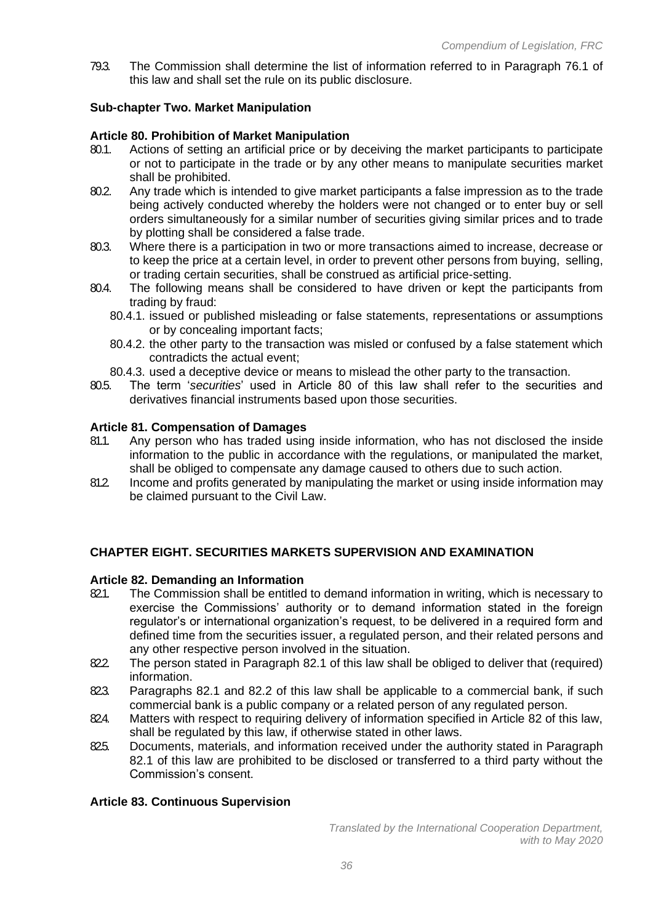79.3. The Commission shall determine the list of information referred to in Paragraph 76.1 of this law and shall set the rule on its public disclosure.

# **Sub-chapter Two. Market Manipulation**

# **Article 80. Prohibition of Market Manipulation**

- 80.1. Actions of setting an artificial price or by deceiving the market participants to participate or not to participate in the trade or by any other means to manipulate securities market shall be prohibited.
- 80.2. Any trade which is intended to give market participants a false impression as to the trade being actively conducted whereby the holders were not changed or to enter buy or sell orders simultaneously for a similar number of securities giving similar prices and to trade by plotting shall be considered a false trade.
- 80.3. Where there is a participation in two or more transactions aimed to increase, decrease or to keep the price at a certain level, in order to prevent other persons from buying, selling, or trading certain securities, shall be construed as artificial price-setting.
- 80.4. The following means shall be considered to have driven or kept the participants from trading by fraud:
	- 80.4.1. issued or published misleading or false statements, representations or assumptions or by concealing important facts;
	- 80.4.2. the other party to the transaction was misled or confused by a false statement which contradicts the actual event;
	- 80.4.3. used a deceptive device or means to mislead the other party to the transaction.
- 80.5. The term '*securities*' used in Article 80 of this law shall refer to the securities and derivatives financial instruments based upon those securities.

### **Article 81. Compensation of Damages**

- 81.1. Any person who has traded using inside information, who has not disclosed the inside information to the public in accordance with the regulations, or manipulated the market, shall be obliged to compensate any damage caused to others due to such action.
- 81.2. Income and profits generated by manipulating the market or using inside information may be claimed pursuant to the Civil Law.

# **CHAPTER EIGHT. SECURITIES MARKETS SUPERVISION AND EXAMINATION**

### **Article 82. Demanding an Information**

- 821. The Commission shall be entitled to demand information in writing, which is necessary to exercise the Commissions' authority or to demand information stated in the foreign regulator's or international organization's request, to be delivered in a required form and defined time from the securities issuer, a regulated person, and their related persons and any other respective person involved in the situation.
- 822 The person stated in Paragraph 82.1 of this law shall be obliged to deliver that (required) information.
- 823. Paragraphs 82.1 and 82.2 of this law shall be applicable to a commercial bank, if such commercial bank is a public company or a related person of any regulated person.
- 824. Matters with respect to requiring delivery of information specified in Article 82 of this law, shall be regulated by this law, if otherwise stated in other laws.
- 825. Documents, materials, and information received under the authority stated in Paragraph 82.1 of this law are prohibited to be disclosed or transferred to a third party without the Commission's consent.

### **Article 83. Continuous Supervision**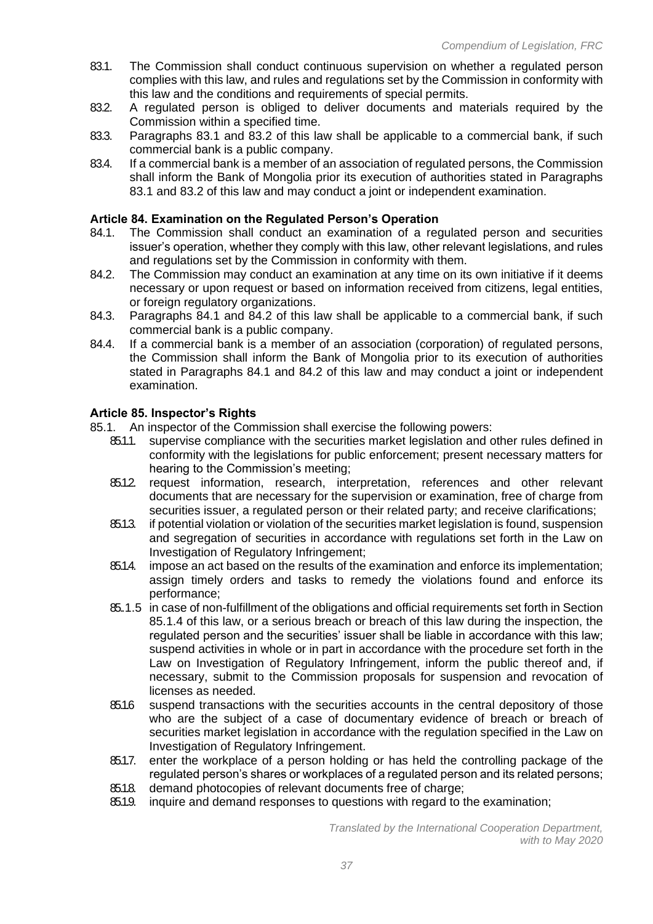- 83.1. The Commission shall conduct continuous supervision on whether a regulated person complies with this law, and rules and regulations set by the Commission in conformity with this law and the conditions and requirements of special permits.
- 83.2. A regulated person is obliged to deliver documents and materials required by the Commission within a specified time.
- 83.3. Paragraphs 83.1 and 83.2 of this law shall be applicable to a commercial bank, if such commercial bank is a public company.
- 83.4. If a commercial bank is a member of an association of regulated persons, the Commission shall inform the Bank of Mongolia prior its execution of authorities stated in Paragraphs 83.1 and 83.2 of this law and may conduct a joint or independent examination.

# **Article 84. Examination on the Regulated Person's Operation**

- 84.1. The Commission shall conduct an examination of a regulated person and securities issuer's operation, whether they comply with this law, other relevant legislations, and rules and regulations set by the Commission in conformity with them.
- 84.2. The Commission may conduct an examination at any time on its own initiative if it deems necessary or upon request or based on information received from citizens, legal entities, or foreign regulatory organizations.
- 84.3. Paragraphs 84.1 and 84.2 of this law shall be applicable to a commercial bank, if such commercial bank is a public company.
- 84.4. If a commercial bank is a member of an association (corporation) of regulated persons, the Commission shall inform the Bank of Mongolia prior to its execution of authorities stated in Paragraphs 84.1 and 84.2 of this law and may conduct a joint or independent examination.

### **Article 85. Inspector's Rights**

- 85.1. An inspector of the Commission shall exercise the following powers:
	- 85.1.1. supervise compliance with the securities market legislation and other rules defined in conformity with the legislations for public enforcement; present necessary matters for hearing to the Commission's meeting;
	- 85.1.2. request information, research, interpretation, references and other relevant documents that are necessary for the supervision or examination, free of charge from securities issuer, a regulated person or their related party; and receive clarifications;
	- 85.1.3. if potential violation or violation of the securities market legislation is found, suspension and segregation of securities in accordance with regulations set forth in the Law on Investigation of Regulatory Infringement;
	- 85.1.4. impose an act based on the results of the examination and enforce its implementation; assign timely orders and tasks to remedy the violations found and enforce its performance;
	- 85.1.5 in case of non-fulfillment of the obligations and official requirements set forth in Section 85.1.4 of this law, or a serious breach or breach of this law during the inspection, the regulated person and the securities' issuer shall be liable in accordance with this law; suspend activities in whole or in part in accordance with the procedure set forth in the Law on Investigation of Regulatory Infringement, inform the public thereof and, if necessary, submit to the Commission proposals for suspension and revocation of licenses as needed.
	- 85.1.6 suspend transactions with the securities accounts in the central depository of those who are the subject of a case of documentary evidence of breach or breach of securities market legislation in accordance with the regulation specified in the Law on Investigation of Regulatory Infringement.
	- 85.1.7. enter the workplace of a person holding or has held the controlling package of the regulated person's shares or workplaces of a regulated person and its related persons;
	- 85.1.8. demand photocopies of relevant documents free of charge:
	- 85.1.9. inquire and demand responses to questions with regard to the examination;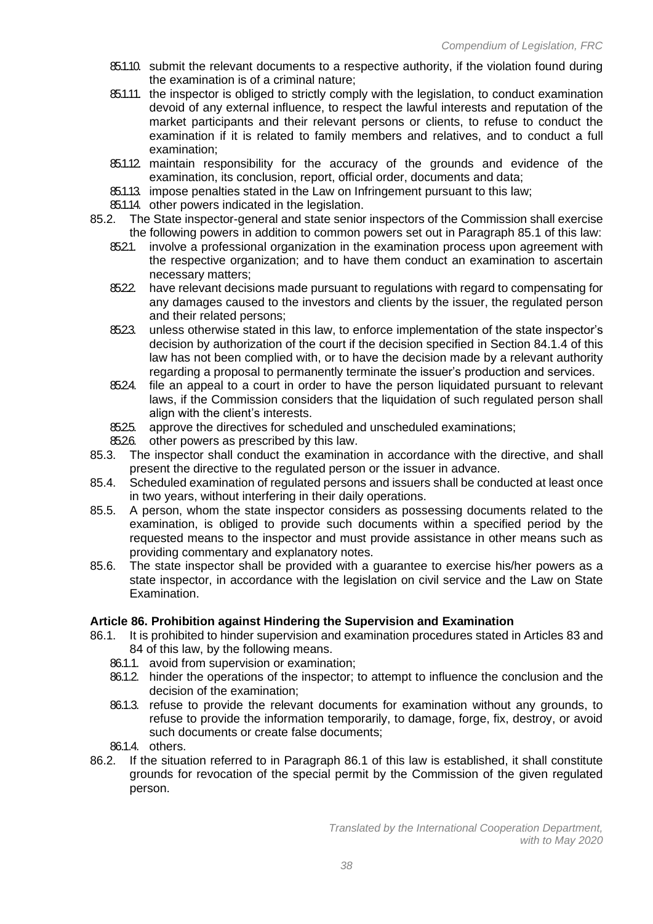- 85.1.10. submit the relevant documents to a respective authority, if the violation found during the examination is of a criminal nature;
- 85.1.11. the inspector is obliged to strictly comply with the legislation, to conduct examination devoid of any external influence, to respect the lawful interests and reputation of the market participants and their relevant persons or clients, to refuse to conduct the examination if it is related to family members and relatives, and to conduct a full examination;
- 85.1.12. maintain responsibility for the accuracy of the grounds and evidence of the examination, its conclusion, report, official order, documents and data;
- 85.1.13. impose penalties stated in the Law on Infringement pursuant to this law;
- 85.1.14. other powers indicated in the legislation.
- 85.2. The State inspector-general and state senior inspectors of the Commission shall exercise the following powers in addition to common powers set out in Paragraph 85.1 of this law:
	- 85.2.1. involve a professional organization in the examination process upon agreement with the respective organization; and to have them conduct an examination to ascertain necessary matters;
	- 85.2.2. have relevant decisions made pursuant to regulations with regard to compensating for any damages caused to the investors and clients by the issuer, the regulated person and their related persons;
	- 8523. unless otherwise stated in this law, to enforce implementation of the state inspector's decision by authorization of the court if the decision specified in Section 84.1.4 of this law has not been complied with, or to have the decision made by a relevant authority regarding a proposal to permanently terminate the issuer's production and services.
	- 85.24. file an appeal to a court in order to have the person liquidated pursuant to relevant laws, if the Commission considers that the liquidation of such regulated person shall align with the client's interests.
	- 8525. approve the directives for scheduled and unscheduled examinations;
	- 85.26. other powers as prescribed by this law.
- 85.3. The inspector shall conduct the examination in accordance with the directive, and shall present the directive to the regulated person or the issuer in advance.
- 85.4. Scheduled examination of regulated persons and issuers shall be conducted at least once in two years, without interfering in their daily operations.
- 85.5. A person, whom the state inspector considers as possessing documents related to the examination, is obliged to provide such documents within a specified period by the requested means to the inspector and must provide assistance in other means such as providing commentary and explanatory notes.
- 85.6. The state inspector shall be provided with a guarantee to exercise his/her powers as a state inspector, in accordance with the legislation on civil service and the Law on State Examination.

### **Article 86. Prohibition against Hindering the Supervision and Examination**

- 86.1. It is prohibited to hinder supervision and examination procedures stated in Articles 83 and 84 of this law, by the following means.
	- 86.1.1. avoid from supervision or examination;
	- 86.1.2. hinder the operations of the inspector; to attempt to influence the conclusion and the decision of the examination;
	- 86.1.3. refuse to provide the relevant documents for examination without any grounds, to refuse to provide the information temporarily, to damage, forge, fix, destroy, or avoid such documents or create false documents;
	- 86.1.4. others.
- 86.2. If the situation referred to in Paragraph 86.1 of this law is established, it shall constitute grounds for revocation of the special permit by the Commission of the given regulated person.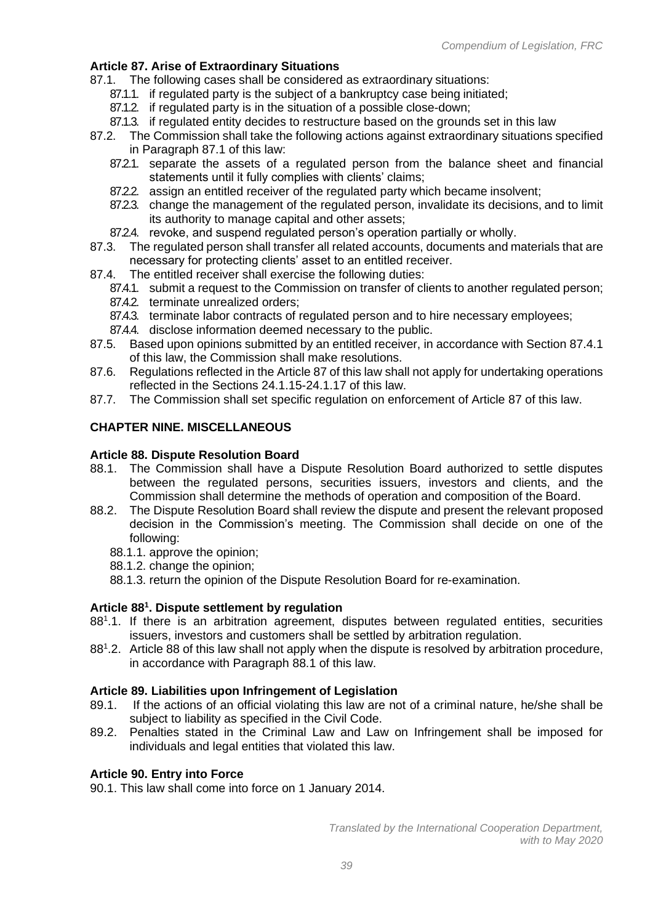# **Article 87. Arise of Extraordinary Situations**

- 87.1. The following cases shall be considered as extraordinary situations:
	- 87.1.1. if regulated party is the subject of a bankruptcy case being initiated;
	- 87.1.2. if regulated party is in the situation of a possible close-down;
	- 87.1.3. if regulated entity decides to restructure based on the grounds set in this law
- 87.2. The Commission shall take the following actions against extraordinary situations specified in Paragraph 87.1 of this law:
	- 87.2.1. separate the assets of a regulated person from the balance sheet and financial statements until it fully complies with clients' claims;
	- 87.2.2. assign an entitled receiver of the regulated party which became insolvent;
	- 87.2.3. change the management of the regulated person, invalidate its decisions, and to limit its authority to manage capital and other assets;
	- 87.2.4. revoke, and suspend regulated person's operation partially or wholly.
- 87.3. The regulated person shall transfer all related accounts, documents and materials that are necessary for protecting clients' asset to an entitled receiver.
- 87.4. The entitled receiver shall exercise the following duties:
	- 87.4.1. submit a request to the Commission on transfer of clients to another regulated person;
	- 87.4.2. terminate unrealized orders;
	- 87.4.3. terminate labor contracts of regulated person and to hire necessary employees;
	- 87.4.4. disclose information deemed necessary to the public.
- 87.5. Based upon opinions submitted by an entitled receiver, in accordance with Section 87.4.1 of this law, the Commission shall make resolutions.
- 87.6. Regulations reflected in the Article 87 of this law shall not apply for undertaking operations reflected in the Sections 24.1.15-24.1.17 of this law.
- 87.7. The Commission shall set specific regulation on enforcement of Article 87 of this law.

# **CHAPTER NINE. MISCELLANEOUS**

### **Article 88. Dispute Resolution Board**

- 88.1. The Commission shall have a Dispute Resolution Board authorized to settle disputes between the regulated persons, securities issuers, investors and clients, and the Commission shall determine the methods of operation and composition of the Board.
- 88.2. The Dispute Resolution Board shall review the dispute and present the relevant proposed decision in the Commission's meeting. The Commission shall decide on one of the following:
	- 88.1.1. approve the opinion;
	- 88.1.2. change the opinion;
	- 88.1.3. return the opinion of the Dispute Resolution Board for re-examination.

# **Article 88<sup>1</sup> . Dispute settlement by regulation**

- 88<sup>1</sup>.1. If there is an arbitration agreement, disputes between regulated entities, securities issuers, investors and customers shall be settled by arbitration regulation.
- 88<sup>1</sup>.2. Article 88 of this law shall not apply when the dispute is resolved by arbitration procedure, in accordance with Paragraph 88.1 of this law.

### **Article 89. Liabilities upon Infringement of Legislation**

- 89.1. If the actions of an official violating this law are not of a criminal nature, he/she shall be subject to liability as specified in the Civil Code.
- 89.2. Penalties stated in the Criminal Law and Law on Infringement shall be imposed for individuals and legal entities that violated this law.

### **Article 90. Entry into Force**

90.1. This law shall come into force on 1 January 2014.